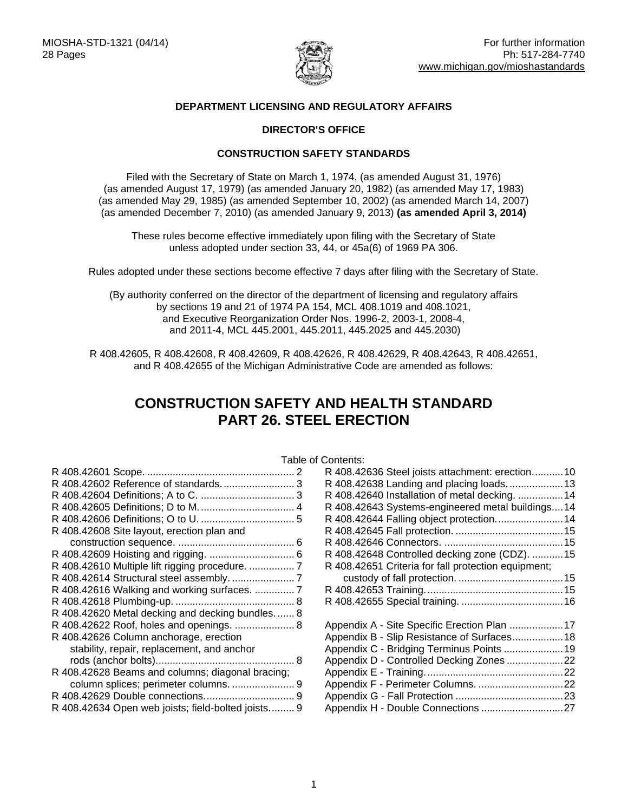

## **DEPARTMENT LICENSING AND REGULATORY AFFAIRS**

## **DIRECTOR'S OFFICE**

## **CONSTRUCTION SAFETY STANDARDS**

Filed with the Secretary of State on March 1, 1974, (as amended August 31, 1976) (as amended August 17, 1979) (as amended January 20, 1982) (as amended May 17, 1983) (as amended May 29, 1985) (as amended September 10, 2002) (as amended March 14, 2007) (as amended December 7, 2010) (as amended January 9, 2013) **(as amended April 3, 2014)**

These rules become effective immediately upon filing with the Secretary of State unless adopted under section 33, 44, or 45a(6) of 1969 PA 306.

Rules adopted under these sections become effective 7 days after filing with the Secretary of State.

(By authority conferred on the director of the department of licensing and regulatory affairs by sections 19 and 21 of 1974 PA 154, MCL 408.1019 and 408.1021, and Executive Reorganization Order Nos. 1996-2, 2003-1, 2008-4, and 2011-4, MCL 445.2001, 445.2011, 445.2025 and 445.2030)

R 408.42605, R 408.42608, R 408.42609, R 408.42626, R 408.42629, R 408.42643, R 408.42651, and R 408.42655 of the Michigan Administrative Code are amended as follows:

# **CONSTRUCTION SAFETY AND HEALTH STANDARD PART 26. STEEL ERECTION**

|  | Table of Contents: |
|--|--------------------|
|--|--------------------|

|                                                    | таріє |
|----------------------------------------------------|-------|
|                                                    |       |
| R 408.42602 Reference of standards 3               |       |
|                                                    |       |
|                                                    |       |
|                                                    |       |
| R 408.42608 Site layout, erection plan and         |       |
|                                                    |       |
|                                                    |       |
| R 408.42610 Multiple lift rigging procedure.  7    |       |
| R 408.42614 Structural steel assembly.  7          |       |
| R 408.42616 Walking and working surfaces.  7       |       |
|                                                    |       |
| R 408.42620 Metal decking and decking bundles 8    |       |
| R 408.42622 Roof, holes and openings.  8           |       |
| R 408.42626 Column anchorage, erection             |       |
| stability, repair, replacement, and anchor         |       |
|                                                    |       |
| R 408.42628 Beams and columns; diagonal bracing;   |       |
| column splices; perimeter columns.  9              |       |
|                                                    |       |
| R 408.42634 Open web joists; field-bolted joists 9 |       |
|                                                    |       |

| JUHEHIS.                                            |  |
|-----------------------------------------------------|--|
| R 408.42636 Steel joists attachment: erection10     |  |
| R 408.42638 Landing and placing loads. 13           |  |
| R 408.42640 Installation of metal decking.  14      |  |
| R 408.42643 Systems-engineered metal buildings14    |  |
| R 408.42644 Falling object protection 14            |  |
|                                                     |  |
|                                                     |  |
| R 408.42648 Controlled decking zone (CDZ).  15      |  |
| R 408.42651 Criteria for fall protection equipment; |  |
|                                                     |  |
|                                                     |  |
|                                                     |  |
| Appendix A - Site Specific Erection Plan 17         |  |
| Appendix B - Slip Resistance of Surfaces 18         |  |
| Appendix C - Bridging Terminus Points 19            |  |
| Appendix D - Controlled Decking Zones 22            |  |
|                                                     |  |
|                                                     |  |
|                                                     |  |
|                                                     |  |
|                                                     |  |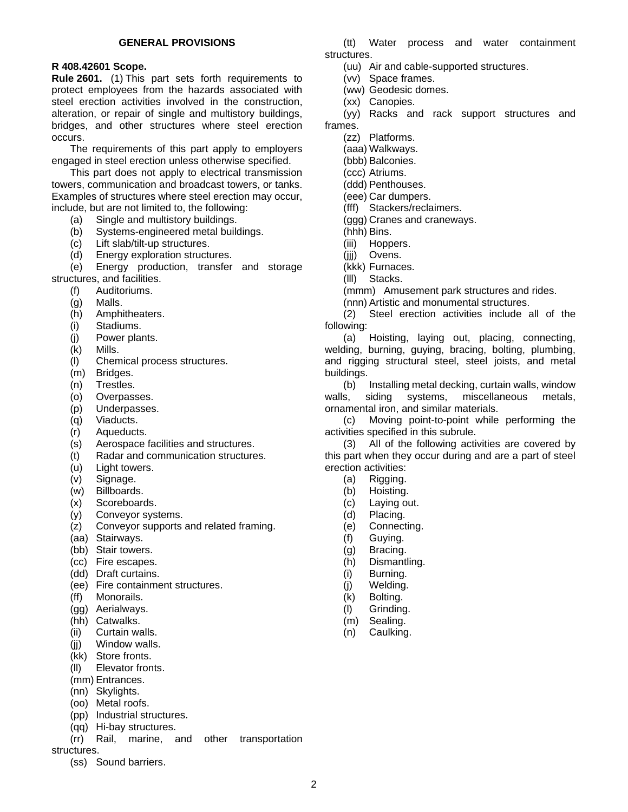### **GENERAL PROVISIONS**

## <span id="page-1-0"></span>**R 408.42601 Scope.**

**Rule 2601.** (1) This part sets forth requirements to protect employees from the hazards associated with steel erection activities involved in the construction, alteration, or repair of single and multistory buildings, bridges, and other structures where steel erection occurs.

The requirements of this part apply to employers engaged in steel erection unless otherwise specified.

This part does not apply to electrical transmission towers, communication and broadcast towers, or tanks. Examples of structures where steel erection may occur, include, but are not limited to, the following:

- (a) Single and multistory buildings.
- (b) Systems-engineered metal buildings.
- (c) Lift slab/tilt-up structures.
- (d) Energy exploration structures.

(e) Energy production, transfer and storage structures, and facilities.

- (f) Auditoriums.
	- (g) Malls.
	- (h) Amphitheaters.
	- (i) Stadiums.
	- (j) Power plants.
	- (k) Mills.
	- (l) Chemical process structures.
	- (m) Bridges.
	- (n) Trestles.
	- (o) Overpasses.
	- (p) Underpasses.
	- (q) Viaducts.
	- (r) Aqueducts.
	- (s) Aerospace facilities and structures.
	- (t) Radar and communication structures.
	- (u) Light towers.
	- (v) Signage.
	- (w) Billboards.
	- (x) Scoreboards.
	- (y) Conveyor systems.
	- (z) Conveyor supports and related framing.
	- (aa) Stairways.
	- (bb) Stair towers.
	- (cc) Fire escapes.
	- (dd) Draft curtains.
	- (ee) Fire containment structures.
	- (ff) Monorails.
	- (gg) Aerialways.
	- (hh) Catwalks.
	- (ii) Curtain walls.
	- (jj) Window walls.
	- (kk) Store fronts.
	- (ll) Elevator fronts.
	- (mm) Entrances.
	- (nn) Skylights.
	- (oo) Metal roofs.
	- (pp) Industrial structures.
	- (qq) Hi-bay structures.

(rr) Rail, marine, and other transportation

structures.

(ss) Sound barriers.

(tt) Water process and water containment structures.

- (uu) Air and cable-supported structures.
- (vv) Space frames.
- (ww) Geodesic domes.
- (xx) Canopies.

(yy) Racks and rack support structures and frames.

- (zz) Platforms.
- (aaa) Walkways.
- (bbb) Balconies.
- (ccc) Atriums.
- (ddd) Penthouses.
- (eee) Car dumpers.
- (fff) Stackers/reclaimers.
- (ggg) Cranes and craneways.
- (hhh) Bins.
- (iii) Hoppers.
- (jjj) Ovens.
- (kkk) Furnaces.
- (lll) Stacks.
- (mmm) Amusement park structures and rides.
- (nnn) Artistic and monumental structures.

(2) Steel erection activities include all of the following:

(a) Hoisting, laying out, placing, connecting, welding, burning, guying, bracing, bolting, plumbing, and rigging structural steel, steel joists, and metal buildings.

(b) Installing metal decking, curtain walls, window walls, siding systems, miscellaneous metals, ornamental iron, and similar materials.

(c) Moving point-to-point while performing the activities specified in this subrule.

(3) All of the following activities are covered by this part when they occur during and are a part of steel erection activities:

- (a) Rigging.
- (b) Hoisting.
- (c) Laying out.
- (d) Placing.
- (e) Connecting.
- (f) Guying.
- (g) Bracing.
- (h) Dismantling.
- (i) Burning.
- (j) Welding.
- (k) Bolting.
- (l) Grinding.
- (m) Sealing.
- (n) Caulking.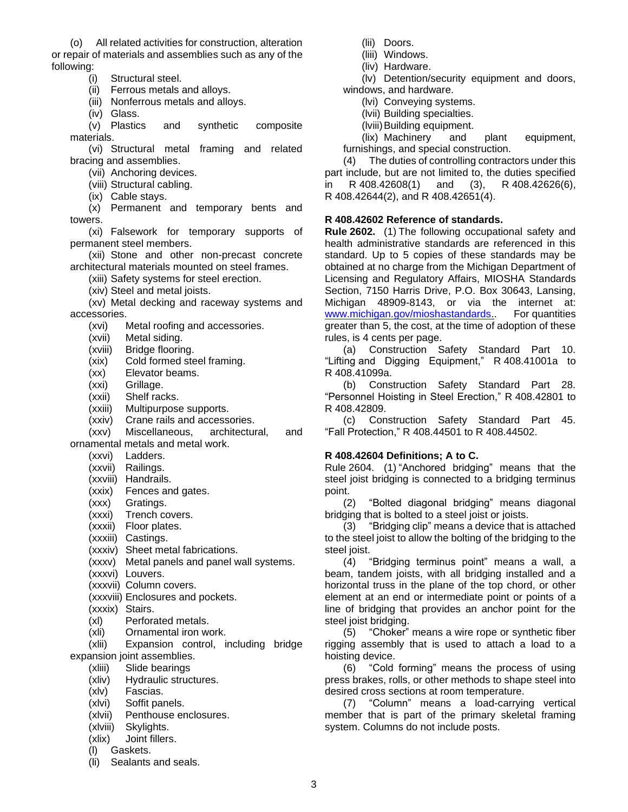(o) All related activities for construction, alteration or repair of materials and assemblies such as any of the following:

- (i) Structural steel.
- (ii) Ferrous metals and alloys.
- (iii) Nonferrous metals and alloys.
- (iv) Glass.

(v) Plastics and synthetic composite materials.

(vi) Structural metal framing and related bracing and assemblies.

- (vii) Anchoring devices.
- (viii) Structural cabling.
- (ix) Cable stays.

(x) Permanent and temporary bents and towers.

(xi) Falsework for temporary supports of permanent steel members.

(xii) Stone and other non-precast concrete architectural materials mounted on steel frames.

(xiii) Safety systems for steel erection.

(xiv) Steel and metal joists.

(xv) Metal decking and raceway systems and accessories.

- (xvi) Metal roofing and accessories.
- (xvii) Metal siding.
- (xviii) Bridge flooring.
- (xix) Cold formed steel framing.
- (xx) Elevator beams.
- (xxi) Grillage.
- (xxii) Shelf racks.
- (xxiii) Multipurpose supports.
- (xxiv) Crane rails and accessories.

(xxv) Miscellaneous, architectural, and

ornamental metals and metal work.

- (xxvi) Ladders.
- (xxvii) Railings.
- (xxviii) Handrails.
- (xxix) Fences and gates.
- (xxx) Gratings.
- (xxxi) Trench covers.
- (xxxii) Floor plates.
- (xxxiii) Castings.
- (xxxiv) Sheet metal fabrications.

(xxxv) Metal panels and panel wall systems.

(xxxvi) Louvers.

(xxxvii) Column covers.

(xxxviii) Enclosures and pockets.

- (xxxix) Stairs.
- (xl) Perforated metals.
- (xli) Ornamental iron work.

(xlii) Expansion control, including bridge expansion joint assemblies.

- (xliii) Slide bearings
- (xliv) Hydraulic structures.
- (xlv) Fascias.
- (xlvi) Soffit panels.
- (xlvii) Penthouse enclosures.
- (xlviii) Skylights.
- (xlix) Joint fillers.
- (l) Gaskets.
- (li) Sealants and seals.
- (lii) Doors.
- (liii) Windows.
- (liv) Hardware.

(lv) Detention/security equipment and doors, windows, and hardware.

- (lvi) Conveying systems.
- (lvii) Building specialties.
- (lviii)Building equipment.

(lix) Machinery and plant equipment, furnishings, and special construction.

(4) The duties of controlling contractors under this part include, but are not limited to, the duties specified in R 408.42608(1) and (3), R 408.42626(6), R 408.42644(2), and R 408.42651(4).

#### <span id="page-2-0"></span>**R 408.42602 Reference of standards.**

**Rule 2602.** (1) The following occupational safety and health administrative standards are referenced in this standard. Up to 5 copies of these standards may be obtained at no charge from the Michigan Department of Licensing and Regulatory Affairs, MIOSHA Standards Section, 7150 Harris Drive, P.O. Box 30643, Lansing, Michigan 48909-8143, or via the internet at: [www.michigan.gov/mioshastandards.](http://www.michigan.gov/mioshastandards). For quantities greater than 5, the cost, at the time of adoption of these rules, is 4 cents per page.

(a) Construction Safety Standard Part 10. "Lifting and Digging Equipment," R 408.41001a to R 408.41099a.

(b) Construction Safety Standard Part 28. "Personnel Hoisting in Steel Erection," R 408.42801 to R 408.42809.

(c) Construction Safety Standard Part 45. "Fall Protection," R 408.44501 to R 408.44502.

#### <span id="page-2-1"></span>**R 408.42604 Definitions; A to C.**

Rule 2604. (1) "Anchored bridging" means that the steel joist bridging is connected to a bridging terminus point.

(2) "Bolted diagonal bridging" means diagonal bridging that is bolted to a steel joist or joists.

(3) "Bridging clip" means a device that is attached to the steel joist to allow the bolting of the bridging to the steel joist.

(4) "Bridging terminus point" means a wall, a beam, tandem joists, with all bridging installed and a horizontal truss in the plane of the top chord, or other element at an end or intermediate point or points of a line of bridging that provides an anchor point for the steel joist bridging.

(5) "Choker" means a wire rope or synthetic fiber rigging assembly that is used to attach a load to a hoisting device.

(6) "Cold forming" means the process of using press brakes, rolls, or other methods to shape steel into desired cross sections at room temperature.

(7) "Column" means a load-carrying vertical member that is part of the primary skeletal framing system. Columns do not include posts.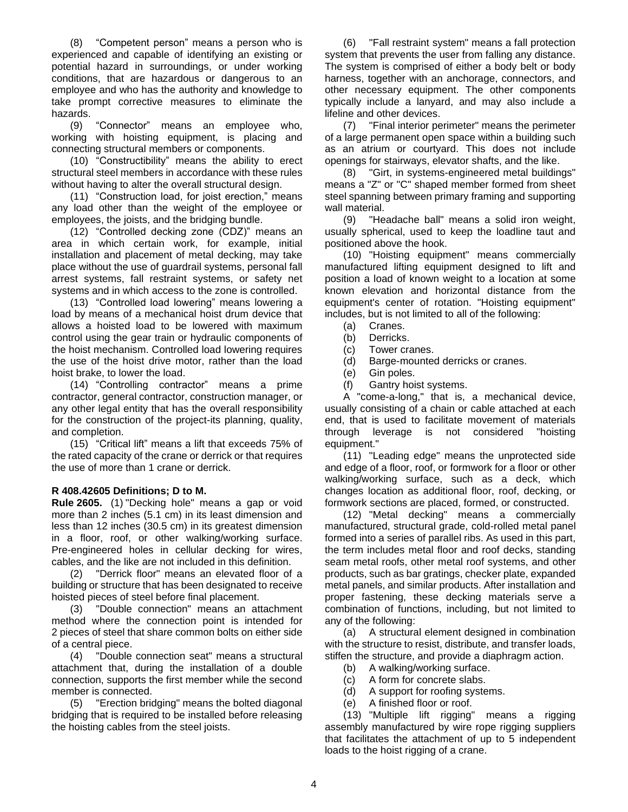(8) "Competent person" means a person who is experienced and capable of identifying an existing or potential hazard in surroundings, or under working conditions, that are hazardous or dangerous to an employee and who has the authority and knowledge to take prompt corrective measures to eliminate the hazards.

(9) "Connector" means an employee who, working with hoisting equipment, is placing and connecting structural members or components.

(10) "Constructibility" means the ability to erect structural steel members in accordance with these rules without having to alter the overall structural design.

(11) "Construction load, for joist erection," means any load other than the weight of the employee or employees, the joists, and the bridging bundle.

(12) "Controlled decking zone (CDZ)" means an area in which certain work, for example, initial installation and placement of metal decking, may take place without the use of guardrail systems, personal fall arrest systems, fall restraint systems, or safety net systems and in which access to the zone is controlled.

(13) "Controlled load lowering" means lowering a load by means of a mechanical hoist drum device that allows a hoisted load to be lowered with maximum control using the gear train or hydraulic components of the hoist mechanism. Controlled load lowering requires the use of the hoist drive motor, rather than the load hoist brake, to lower the load.

(14) "Controlling contractor" means a prime contractor, general contractor, construction manager, or any other legal entity that has the overall responsibility for the construction of the project-its planning, quality, and completion.

(15) "Critical lift" means a lift that exceeds 75% of the rated capacity of the crane or derrick or that requires the use of more than 1 crane or derrick.

## <span id="page-3-0"></span>**R 408.42605 Definitions; D to M.**

**Rule 2605.** (1) "Decking hole" means a gap or void more than 2 inches (5.1 cm) in its least dimension and less than 12 inches (30.5 cm) in its greatest dimension in a floor, roof, or other walking/working surface. Pre-engineered holes in cellular decking for wires, cables, and the like are not included in this definition.

(2) "Derrick floor" means an elevated floor of a building or structure that has been designated to receive hoisted pieces of steel before final placement.

(3) "Double connection" means an attachment method where the connection point is intended for 2 pieces of steel that share common bolts on either side of a central piece.

(4) "Double connection seat" means a structural attachment that, during the installation of a double connection, supports the first member while the second member is connected.

(5) "Erection bridging" means the bolted diagonal bridging that is required to be installed before releasing the hoisting cables from the steel joists.

(6) "Fall restraint system" means a fall protection system that prevents the user from falling any distance. The system is comprised of either a body belt or body harness, together with an anchorage, connectors, and other necessary equipment. The other components typically include a lanyard, and may also include a lifeline and other devices.

(7) "Final interior perimeter" means the perimeter of a large permanent open space within a building such as an atrium or courtyard. This does not include openings for stairways, elevator shafts, and the like.

(8) "Girt, in systems-engineered metal buildings" means a "Z" or "C" shaped member formed from sheet steel spanning between primary framing and supporting wall material.

(9) "Headache ball" means a solid iron weight, usually spherical, used to keep the loadline taut and positioned above the hook.

(10) "Hoisting equipment" means commercially manufactured lifting equipment designed to lift and position a load of known weight to a location at some known elevation and horizontal distance from the equipment's center of rotation. "Hoisting equipment" includes, but is not limited to all of the following:

- (a) Cranes.
- (b) Derricks.
- (c) Tower cranes.
- (d) Barge-mounted derricks or cranes.
- (e) Gin poles.
- (f) Gantry hoist systems.

A "come-a-long," that is, a mechanical device, usually consisting of a chain or cable attached at each end, that is used to facilitate movement of materials through leverage is not considered "hoisting equipment."

(11) "Leading edge" means the unprotected side and edge of a floor, roof, or formwork for a floor or other walking/working surface, such as a deck, which changes location as additional floor, roof, decking, or formwork sections are placed, formed, or constructed.

(12) "Metal decking" means a commercially manufactured, structural grade, cold-rolled metal panel formed into a series of parallel ribs. As used in this part, the term includes metal floor and roof decks, standing seam metal roofs, other metal roof systems, and other products, such as bar gratings, checker plate, expanded metal panels, and similar products. After installation and proper fastening, these decking materials serve a combination of functions, including, but not limited to any of the following:

(a) A structural element designed in combination with the structure to resist, distribute, and transfer loads, stiffen the structure, and provide a diaphragm action.

- (b) A walking/working surface.
- (c) A form for concrete slabs.
- (d) A support for roofing systems.
- (e) A finished floor or roof.

(13) "Multiple lift rigging" means a rigging assembly manufactured by wire rope rigging suppliers that facilitates the attachment of up to 5 independent loads to the hoist rigging of a crane.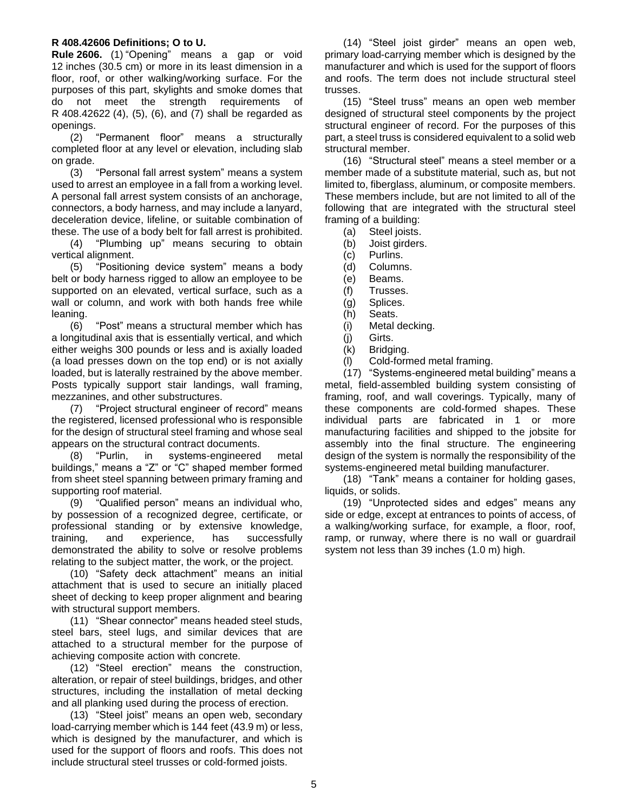## <span id="page-4-0"></span>**R 408.42606 Definitions; O to U.**

**Rule 2606.** (1) "Opening" means a gap or void 12 inches (30.5 cm) or more in its least dimension in a floor, roof, or other walking/working surface. For the purposes of this part, skylights and smoke domes that do not meet the strength requirements of R 408.42622 (4), (5), (6), and (7) shall be regarded as openings.

(2) "Permanent floor" means a structurally completed floor at any level or elevation, including slab on grade.

(3) "Personal fall arrest system" means a system used to arrest an employee in a fall from a working level. A personal fall arrest system consists of an anchorage, connectors, a body harness, and may include a lanyard, deceleration device, lifeline, or suitable combination of these. The use of a body belt for fall arrest is prohibited.

(4) "Plumbing up" means securing to obtain vertical alignment.

(5) "Positioning device system" means a body belt or body harness rigged to allow an employee to be supported on an elevated, vertical surface, such as a wall or column, and work with both hands free while leaning.

(6) "Post" means a structural member which has a longitudinal axis that is essentially vertical, and which either weighs 300 pounds or less and is axially loaded (a load presses down on the top end) or is not axially loaded, but is laterally restrained by the above member. Posts typically support stair landings, wall framing, mezzanines, and other substructures.

(7) "Project structural engineer of record" means the registered, licensed professional who is responsible for the design of structural steel framing and whose seal appears on the structural contract documents.

(8) "Purlin, in systems-engineered metal buildings," means a "Z" or "C" shaped member formed from sheet steel spanning between primary framing and supporting roof material.

(9) "Qualified person" means an individual who, by possession of a recognized degree, certificate, or professional standing or by extensive knowledge, training, and experience, has successfully demonstrated the ability to solve or resolve problems relating to the subject matter, the work, or the project.

(10) "Safety deck attachment" means an initial attachment that is used to secure an initially placed sheet of decking to keep proper alignment and bearing with structural support members.

(11) "Shear connector" means headed steel studs, steel bars, steel lugs, and similar devices that are attached to a structural member for the purpose of achieving composite action with concrete.

(12) "Steel erection" means the construction, alteration, or repair of steel buildings, bridges, and other structures, including the installation of metal decking and all planking used during the process of erection.

(13) "Steel joist" means an open web, secondary load-carrying member which is 144 feet (43.9 m) or less, which is designed by the manufacturer, and which is used for the support of floors and roofs. This does not include structural steel trusses or cold-formed joists.

(14) "Steel joist girder" means an open web, primary load-carrying member which is designed by the manufacturer and which is used for the support of floors and roofs. The term does not include structural steel trusses.

(15) "Steel truss" means an open web member designed of structural steel components by the project structural engineer of record. For the purposes of this part, a steel truss is considered equivalent to a solid web structural member.

(16) "Structural steel" means a steel member or a member made of a substitute material, such as, but not limited to, fiberglass, aluminum, or composite members. These members include, but are not limited to all of the following that are integrated with the structural steel framing of a building:

- (a) Steel joists.
- (b) Joist girders.
- (c) Purlins.
- (d) Columns.
- (e) Beams.
- (f) Trusses.
- (g) Splices.
- (h) Seats.
- (i) Metal decking.
- (j) Girts.
- (k) Bridging.
- (l) Cold-formed metal framing.

(17) "Systems-engineered metal building" means a metal, field-assembled building system consisting of framing, roof, and wall coverings. Typically, many of these components are cold-formed shapes. These individual parts are fabricated in 1 or more manufacturing facilities and shipped to the jobsite for assembly into the final structure. The engineering design of the system is normally the responsibility of the systems-engineered metal building manufacturer.

(18) "Tank" means a container for holding gases, liquids, or solids.

(19) "Unprotected sides and edges" means any side or edge, except at entrances to points of access, of a walking/working surface, for example, a floor, roof, ramp, or runway, where there is no wall or guardrail system not less than 39 inches (1.0 m) high.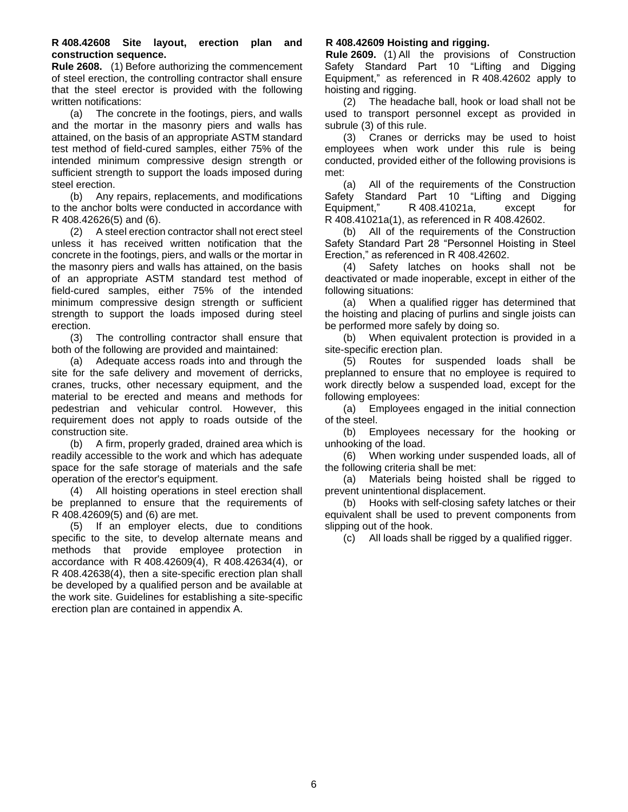## <span id="page-5-0"></span>**R 408.42608 Site layout, erection plan and construction sequence.**

**Rule 2608.** (1) Before authorizing the commencement of steel erection, the controlling contractor shall ensure that the steel erector is provided with the following written notifications:

(a) The concrete in the footings, piers, and walls and the mortar in the masonry piers and walls has attained, on the basis of an appropriate ASTM standard test method of field-cured samples, either 75% of the intended minimum compressive design strength or sufficient strength to support the loads imposed during steel erection.

(b) Any repairs, replacements, and modifications to the anchor bolts were conducted in accordance with R 408.42626(5) and (6).

(2) A steel erection contractor shall not erect steel unless it has received written notification that the concrete in the footings, piers, and walls or the mortar in the masonry piers and walls has attained, on the basis of an appropriate ASTM standard test method of field-cured samples, either 75% of the intended minimum compressive design strength or sufficient strength to support the loads imposed during steel erection.

(3) The controlling contractor shall ensure that both of the following are provided and maintained:

(a) Adequate access roads into and through the site for the safe delivery and movement of derricks, cranes, trucks, other necessary equipment, and the material to be erected and means and methods for pedestrian and vehicular control. However, this requirement does not apply to roads outside of the construction site.

(b) A firm, properly graded, drained area which is readily accessible to the work and which has adequate space for the safe storage of materials and the safe operation of the erector's equipment.

(4) All hoisting operations in steel erection shall be preplanned to ensure that the requirements of R 408.42609(5) and (6) are met.

(5) If an employer elects, due to conditions specific to the site, to develop alternate means and methods that provide employee protection in accordance with R 408.42609(4), R 408.42634(4), or R 408.42638(4), then a site-specific erection plan shall be developed by a qualified person and be available at the work site. Guidelines for establishing a site-specific erection plan are contained in appendix A.

## <span id="page-5-1"></span>**R 408.42609 Hoisting and rigging.**

**Rule 2609.** (1) All the provisions of Construction Safety Standard Part 10 "Lifting and Digging Equipment," as referenced in R 408.42602 apply to hoisting and rigging.

(2) The headache ball, hook or load shall not be used to transport personnel except as provided in subrule (3) of this rule.

(3) Cranes or derricks may be used to hoist employees when work under this rule is being conducted, provided either of the following provisions is met:

(a) All of the requirements of the Construction Safety Standard Part 10 "Lifting and Digging Equipment," R 408.41021a, except for R 408.41021a(1), as referenced in R 408.42602.

(b) All of the requirements of the Construction Safety Standard Part 28 "Personnel Hoisting in Steel Erection," as referenced in R 408.42602.

(4) Safety latches on hooks shall not be deactivated or made inoperable, except in either of the following situations:

(a) When a qualified rigger has determined that the hoisting and placing of purlins and single joists can be performed more safely by doing so.

(b) When equivalent protection is provided in a site-specific erection plan.

(5) Routes for suspended loads shall be preplanned to ensure that no employee is required to work directly below a suspended load, except for the following employees:

(a) Employees engaged in the initial connection of the steel.

(b) Employees necessary for the hooking or unhooking of the load.

(6) When working under suspended loads, all of the following criteria shall be met:

(a) Materials being hoisted shall be rigged to prevent unintentional displacement.

(b) Hooks with self-closing safety latches or their equivalent shall be used to prevent components from slipping out of the hook.

(c) All loads shall be rigged by a qualified rigger.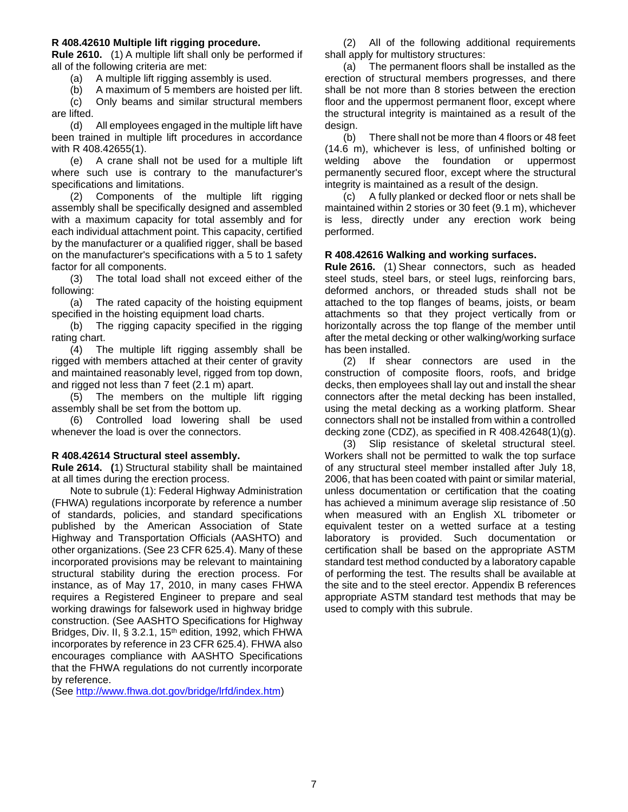#### <span id="page-6-0"></span>**R 408.42610 Multiple lift rigging procedure.**

**Rule 2610.** (1) A multiple lift shall only be performed if all of the following criteria are met:

(a) A multiple lift rigging assembly is used.

(b) A maximum of 5 members are hoisted per lift.

(c) Only beams and similar structural members are lifted.

(d) All employees engaged in the multiple lift have been trained in multiple lift procedures in accordance with R 408.42655(1).

(e) A crane shall not be used for a multiple lift where such use is contrary to the manufacturer's specifications and limitations.

(2) Components of the multiple lift rigging assembly shall be specifically designed and assembled with a maximum capacity for total assembly and for each individual attachment point. This capacity, certified by the manufacturer or a qualified rigger, shall be based on the manufacturer's specifications with a 5 to 1 safety factor for all components.

(3) The total load shall not exceed either of the following:

(a) The rated capacity of the hoisting equipment specified in the hoisting equipment load charts.

(b) The rigging capacity specified in the rigging rating chart.

(4) The multiple lift rigging assembly shall be rigged with members attached at their center of gravity and maintained reasonably level, rigged from top down, and rigged not less than 7 feet (2.1 m) apart.

(5) The members on the multiple lift rigging assembly shall be set from the bottom up.

(6) Controlled load lowering shall be used whenever the load is over the connectors.

#### <span id="page-6-1"></span>**R 408.42614 Structural steel assembly.**

**Rule 2614. (**1) Structural stability shall be maintained at all times during the erection process.

Note to subrule (1): Federal Highway Administration (FHWA) regulations incorporate by reference a number of standards, policies, and standard specifications published by the American Association of State Highway and Transportation Officials (AASHTO) and other organizations. (See 23 CFR 625.4). Many of these incorporated provisions may be relevant to maintaining structural stability during the erection process. For instance, as of May 17, 2010, in many cases FHWA requires a Registered Engineer to prepare and seal working drawings for falsework used in highway bridge construction. (See AASHTO Specifications for Highway Bridges, Div. II, § 3.2.1, 15<sup>th</sup> edition, 1992, which FHWA incorporates by reference in 23 CFR 625.4). FHWA also encourages compliance with AASHTO Specifications that the FHWA regulations do not currently incorporate by reference.

(See [http://www.fhwa.dot.gov/bridge/lrfd/index.htm\)](http://www.fhwa.dot.gov/bridge/lrfd/index.htm)

(2) All of the following additional requirements shall apply for multistory structures:

(a) The permanent floors shall be installed as the erection of structural members progresses, and there shall be not more than 8 stories between the erection floor and the uppermost permanent floor, except where the structural integrity is maintained as a result of the design.

(b) There shall not be more than 4 floors or 48 feet (14.6 m), whichever is less, of unfinished bolting or welding above the foundation or uppermost permanently secured floor, except where the structural integrity is maintained as a result of the design.

(c) A fully planked or decked floor or nets shall be maintained within 2 stories or 30 feet (9.1 m), whichever is less, directly under any erection work being performed.

#### <span id="page-6-2"></span>**R 408.42616 Walking and working surfaces.**

**Rule 2616.** (1) Shear connectors, such as headed steel studs, steel bars, or steel lugs, reinforcing bars, deformed anchors, or threaded studs shall not be attached to the top flanges of beams, joists, or beam attachments so that they project vertically from or horizontally across the top flange of the member until after the metal decking or other walking/working surface has been installed.

(2) If shear connectors are used in the construction of composite floors, roofs, and bridge decks, then employees shall lay out and install the shear connectors after the metal decking has been installed, using the metal decking as a working platform. Shear connectors shall not be installed from within a controlled decking zone (CDZ), as specified in R 408.42648(1)(g).

(3) Slip resistance of skeletal structural steel. Workers shall not be permitted to walk the top surface of any structural steel member installed after July 18, 2006, that has been coated with paint or similar material, unless documentation or certification that the coating has achieved a minimum average slip resistance of .50 when measured with an English XL tribometer or equivalent tester on a wetted surface at a testing laboratory is provided. Such documentation or certification shall be based on the appropriate ASTM standard test method conducted by a laboratory capable of performing the test. The results shall be available at the site and to the steel erector. Appendix B references appropriate ASTM standard test methods that may be used to comply with this subrule.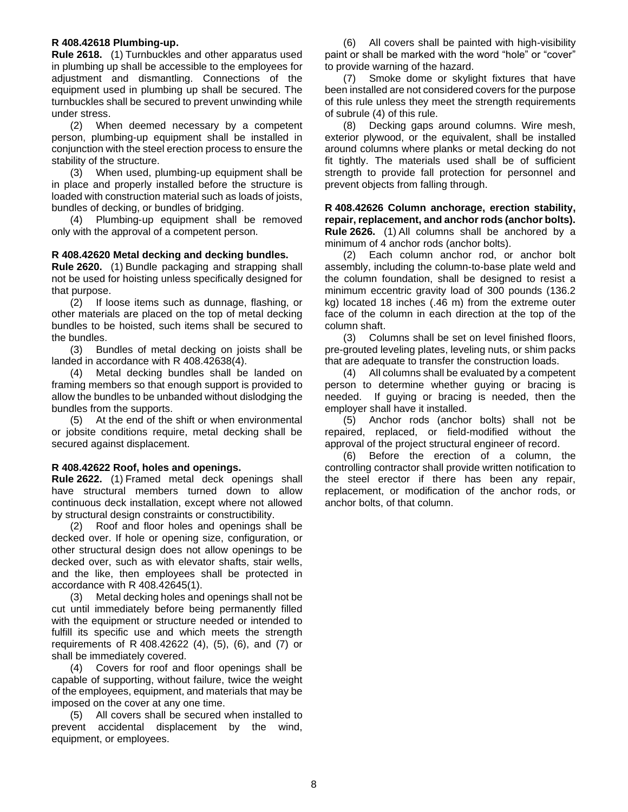#### <span id="page-7-0"></span>**R 408.42618 Plumbing-up.**

**Rule 2618.** (1) Turnbuckles and other apparatus used in plumbing up shall be accessible to the employees for adjustment and dismantling. Connections of the equipment used in plumbing up shall be secured. The turnbuckles shall be secured to prevent unwinding while under stress.

(2) When deemed necessary by a competent person, plumbing-up equipment shall be installed in conjunction with the steel erection process to ensure the stability of the structure.

(3) When used, plumbing-up equipment shall be in place and properly installed before the structure is loaded with construction material such as loads of joists, bundles of decking, or bundles of bridging.

(4) Plumbing-up equipment shall be removed only with the approval of a competent person.

#### <span id="page-7-1"></span>**R 408.42620 Metal decking and decking bundles.**

**Rule 2620.** (1) Bundle packaging and strapping shall not be used for hoisting unless specifically designed for that purpose.

(2) If loose items such as dunnage, flashing, or other materials are placed on the top of metal decking bundles to be hoisted, such items shall be secured to the bundles.

(3) Bundles of metal decking on joists shall be landed in accordance with R 408.42638(4).

(4) Metal decking bundles shall be landed on framing members so that enough support is provided to allow the bundles to be unbanded without dislodging the bundles from the supports.

(5) At the end of the shift or when environmental or jobsite conditions require, metal decking shall be secured against displacement.

#### <span id="page-7-2"></span>**R 408.42622 Roof, holes and openings.**

**Rule 2622.** (1) Framed metal deck openings shall have structural members turned down to allow continuous deck installation, except where not allowed by structural design constraints or constructibility.

(2) Roof and floor holes and openings shall be decked over. If hole or opening size, configuration, or other structural design does not allow openings to be decked over, such as with elevator shafts, stair wells, and the like, then employees shall be protected in accordance with R 408.42645(1).

(3) Metal decking holes and openings shall not be cut until immediately before being permanently filled with the equipment or structure needed or intended to fulfill its specific use and which meets the strength requirements of R 408.42622 (4), (5), (6), and (7) or shall be immediately covered.

(4) Covers for roof and floor openings shall be capable of supporting, without failure, twice the weight of the employees, equipment, and materials that may be imposed on the cover at any one time.

(5) All covers shall be secured when installed to prevent accidental displacement by the wind, equipment, or employees.

(6) All covers shall be painted with high-visibility paint or shall be marked with the word "hole" or "cover" to provide warning of the hazard.

(7) Smoke dome or skylight fixtures that have been installed are not considered covers for the purpose of this rule unless they meet the strength requirements of subrule (4) of this rule.

(8) Decking gaps around columns. Wire mesh, exterior plywood, or the equivalent, shall be installed around columns where planks or metal decking do not fit tightly. The materials used shall be of sufficient strength to provide fall protection for personnel and prevent objects from falling through.

<span id="page-7-3"></span>**R 408.42626 Column anchorage, erection stability, repair, replacement, and anchor rods (anchor bolts). Rule 2626.** (1) All columns shall be anchored by a minimum of 4 anchor rods (anchor bolts).

(2) Each column anchor rod, or anchor bolt assembly, including the column-to-base plate weld and the column foundation, shall be designed to resist a minimum eccentric gravity load of 300 pounds (136.2 kg) located 18 inches (.46 m) from the extreme outer face of the column in each direction at the top of the column shaft.

(3) Columns shall be set on level finished floors, pre-grouted leveling plates, leveling nuts, or shim packs that are adequate to transfer the construction loads.

(4) All columns shall be evaluated by a competent person to determine whether guying or bracing is needed. If guying or bracing is needed, then the employer shall have it installed.

(5) Anchor rods (anchor bolts) shall not be repaired, replaced, or field-modified without the approval of the project structural engineer of record.

(6) Before the erection of a column, the controlling contractor shall provide written notification to the steel erector if there has been any repair, replacement, or modification of the anchor rods, or anchor bolts, of that column.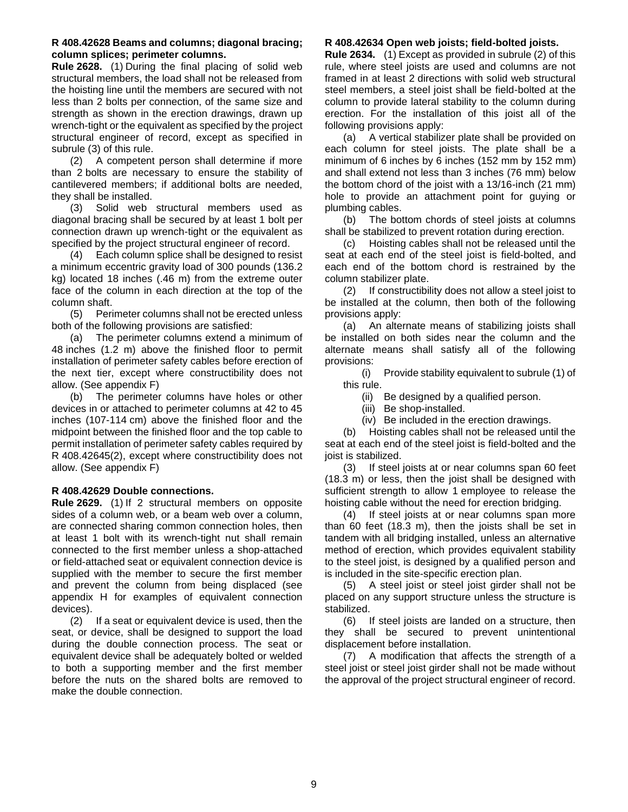#### <span id="page-8-0"></span>**R 408.42628 Beams and columns; diagonal bracing; column splices; perimeter columns.**

**Rule 2628.** (1) During the final placing of solid web structural members, the load shall not be released from the hoisting line until the members are secured with not less than 2 bolts per connection, of the same size and strength as shown in the erection drawings, drawn up wrench-tight or the equivalent as specified by the project structural engineer of record, except as specified in subrule (3) of this rule.

(2) A competent person shall determine if more than 2 bolts are necessary to ensure the stability of cantilevered members; if additional bolts are needed, they shall be installed.

(3) Solid web structural members used as diagonal bracing shall be secured by at least 1 bolt per connection drawn up wrench-tight or the equivalent as specified by the project structural engineer of record.

(4) Each column splice shall be designed to resist a minimum eccentric gravity load of 300 pounds (136.2 kg) located 18 inches (.46 m) from the extreme outer face of the column in each direction at the top of the column shaft.

(5) Perimeter columns shall not be erected unless both of the following provisions are satisfied:

(a) The perimeter columns extend a minimum of 48 inches (1.2 m) above the finished floor to permit installation of perimeter safety cables before erection of the next tier, except where constructibility does not allow. (See appendix F)

(b) The perimeter columns have holes or other devices in or attached to perimeter columns at 42 to 45 inches (107-114 cm) above the finished floor and the midpoint between the finished floor and the top cable to permit installation of perimeter safety cables required by R 408.42645(2), except where constructibility does not allow. (See appendix F)

## <span id="page-8-1"></span>**R 408.42629 Double connections.**

**Rule 2629.** (1) If 2 structural members on opposite sides of a column web, or a beam web over a column, are connected sharing common connection holes, then at least 1 bolt with its wrench-tight nut shall remain connected to the first member unless a shop-attached or field-attached seat or equivalent connection device is supplied with the member to secure the first member and prevent the column from being displaced (see appendix H for examples of equivalent connection devices).

(2) If a seat or equivalent device is used, then the seat, or device, shall be designed to support the load during the double connection process. The seat or equivalent device shall be adequately bolted or welded to both a supporting member and the first member before the nuts on the shared bolts are removed to make the double connection.

## <span id="page-8-2"></span>**R 408.42634 Open web joists; field-bolted joists.**

**Rule 2634.** (1) Except as provided in subrule (2) of this rule, where steel joists are used and columns are not framed in at least 2 directions with solid web structural steel members, a steel joist shall be field-bolted at the column to provide lateral stability to the column during erection. For the installation of this joist all of the following provisions apply:

(a) A vertical stabilizer plate shall be provided on each column for steel joists. The plate shall be a minimum of 6 inches by 6 inches (152 mm by 152 mm) and shall extend not less than 3 inches (76 mm) below the bottom chord of the joist with a 13/16-inch (21 mm) hole to provide an attachment point for guying or plumbing cables.

(b) The bottom chords of steel joists at columns shall be stabilized to prevent rotation during erection.

(c) Hoisting cables shall not be released until the seat at each end of the steel joist is field-bolted, and each end of the bottom chord is restrained by the column stabilizer plate.

(2) If constructibility does not allow a steel joist to be installed at the column, then both of the following provisions apply:

(a) An alternate means of stabilizing joists shall be installed on both sides near the column and the alternate means shall satisfy all of the following provisions:

(i) Provide stability equivalent to subrule (1) of this rule.

- (ii) Be designed by a qualified person.
- (iii) Be shop-installed.
- (iv) Be included in the erection drawings.

(b) Hoisting cables shall not be released until the seat at each end of the steel joist is field-bolted and the joist is stabilized.

(3) If steel joists at or near columns span 60 feet (18.3 m) or less, then the joist shall be designed with sufficient strength to allow 1 employee to release the hoisting cable without the need for erection bridging.

(4) If steel joists at or near columns span more than 60 feet (18.3 m), then the joists shall be set in tandem with all bridging installed, unless an alternative method of erection, which provides equivalent stability to the steel joist, is designed by a qualified person and is included in the site-specific erection plan.

(5) A steel joist or steel joist girder shall not be placed on any support structure unless the structure is stabilized.

(6) If steel joists are landed on a structure, then they shall be secured to prevent unintentional displacement before installation.

(7) A modification that affects the strength of a steel joist or steel joist girder shall not be made without the approval of the project structural engineer of record.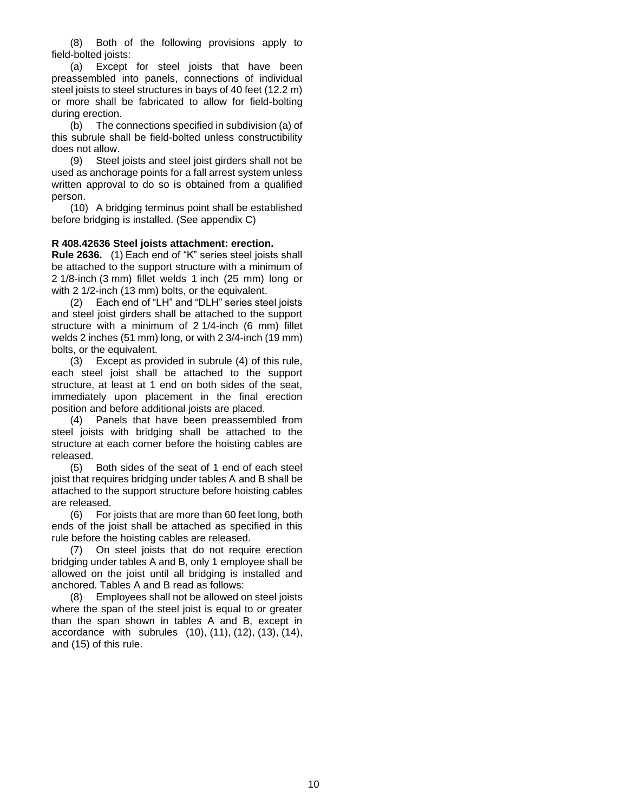(8) Both of the following provisions apply to field-bolted joists:

(a) Except for steel joists that have been preassembled into panels, connections of individual steel joists to steel structures in bays of 40 feet (12.2 m) or more shall be fabricated to allow for field-bolting during erection.

(b) The connections specified in subdivision (a) of this subrule shall be field-bolted unless constructibility does not allow.

(9) Steel joists and steel joist girders shall not be used as anchorage points for a fall arrest system unless written approval to do so is obtained from a qualified person.

(10) A bridging terminus point shall be established before bridging is installed. (See appendix C)

## <span id="page-9-0"></span>**R 408.42636 Steel joists attachment: erection.**

**Rule 2636.** (1) Each end of "K" series steel joists shall be attached to the support structure with a minimum of 2 1/8-inch (3 mm) fillet welds 1 inch (25 mm) long or with 2 1/2-inch (13 mm) bolts, or the equivalent.

(2) Each end of "LH" and "DLH" series steel joists and steel joist girders shall be attached to the support structure with a minimum of 2 1/4-inch (6 mm) fillet welds 2 inches (51 mm) long, or with 2 3/4-inch (19 mm) bolts, or the equivalent.

(3) Except as provided in subrule (4) of this rule, each steel joist shall be attached to the support structure, at least at 1 end on both sides of the seat, immediately upon placement in the final erection position and before additional joists are placed.

(4) Panels that have been preassembled from steel joists with bridging shall be attached to the structure at each corner before the hoisting cables are released.

(5) Both sides of the seat of 1 end of each steel joist that requires bridging under tables A and B shall be attached to the support structure before hoisting cables are released.

(6) For joists that are more than 60 feet long, both ends of the joist shall be attached as specified in this rule before the hoisting cables are released.

(7) On steel joists that do not require erection bridging under tables A and B, only 1 employee shall be allowed on the joist until all bridging is installed and anchored. Tables A and B read as follows:

(8) Employees shall not be allowed on steel joists where the span of the steel joist is equal to or greater than the span shown in tables A and B, except in accordance with subrules (10), (11), (12), (13), (14), and (15) of this rule.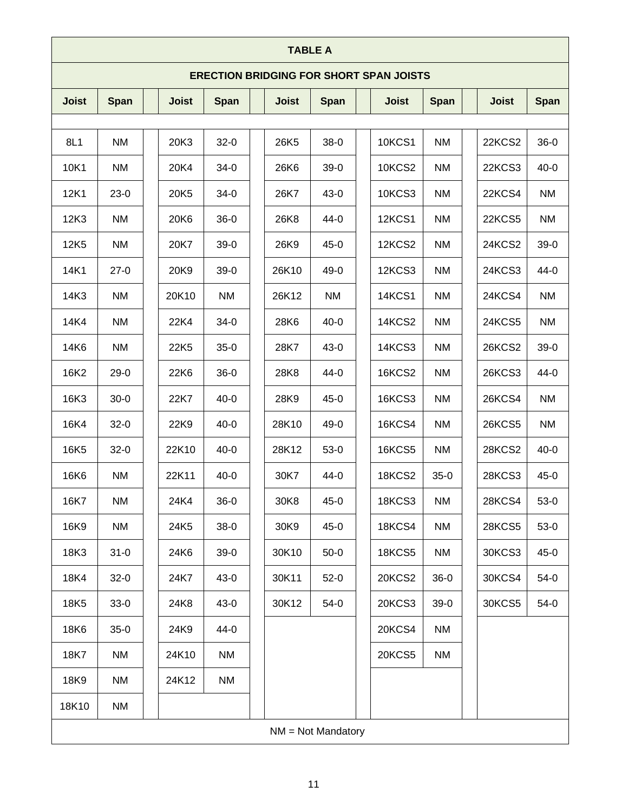| <b>TABLE A</b>                                 |             |  |              |             |  |              |             |               |             |               |             |
|------------------------------------------------|-------------|--|--------------|-------------|--|--------------|-------------|---------------|-------------|---------------|-------------|
| <b>ERECTION BRIDGING FOR SHORT SPAN JOISTS</b> |             |  |              |             |  |              |             |               |             |               |             |
| <b>Joist</b>                                   | <b>Span</b> |  | <b>Joist</b> | <b>Span</b> |  | <b>Joist</b> | <b>Span</b> | <b>Joist</b>  | <b>Span</b> | <b>Joist</b>  | <b>Span</b> |
|                                                |             |  |              |             |  |              |             |               |             |               |             |
| 8L1                                            | NM          |  | 20K3         | $32 - 0$    |  | 26K5         | $38-0$      | <b>10KCS1</b> | NM          | 22KCS2        | $36-0$      |
| 10K1                                           | <b>NM</b>   |  | 20K4         | $34 - 0$    |  | 26K6         | $39-0$      | <b>10KCS2</b> | <b>NM</b>   | 22KCS3        | $40 - 0$    |
| 12K1                                           | $23-0$      |  | 20K5         | $34 - 0$    |  | 26K7         | $43 - 0$    | <b>10KCS3</b> | <b>NM</b>   | 22KCS4        | <b>NM</b>   |
| 12K3                                           | NM          |  | 20K6         | $36-0$      |  | 26K8         | $44 - 0$    | <b>12KCS1</b> | <b>NM</b>   | 22KCS5        | <b>NM</b>   |
| 12K <sub>5</sub>                               | <b>NM</b>   |  | 20K7         | $39-0$      |  | 26K9         | $45 - 0$    | 12KCS2        | <b>NM</b>   | 24KCS2        | $39-0$      |
| 14K1                                           | $27-0$      |  | 20K9         | $39-0$      |  | 26K10        | 49-0        | 12KCS3        | <b>NM</b>   | 24KCS3        | $44-0$      |
| 14K3                                           | NM          |  | 20K10        | NM          |  | 26K12        | <b>NM</b>   | <b>14KCS1</b> | <b>NM</b>   | 24KCS4        | <b>NM</b>   |
| 14K4                                           | <b>NM</b>   |  | 22K4         | $34 - 0$    |  | 28K6         | $40 - 0$    | 14KCS2        | <b>NM</b>   | 24KCS5        | <b>NM</b>   |
| 14K6                                           | <b>NM</b>   |  | 22K5         | $35-0$      |  | 28K7         | $43 - 0$    | 14KCS3        | <b>NM</b>   | 26KCS2        | $39-0$      |
| 16K2                                           | $29-0$      |  | 22K6         | $36-0$      |  | 28K8         | $44-0$      | <b>16KCS2</b> | <b>NM</b>   | 26KCS3        | $44-0$      |
| 16K3                                           | $30 - 0$    |  | 22K7         | $40 - 0$    |  | 28K9         | $45 - 0$    | <b>16KCS3</b> | NM          | 26KCS4        | <b>NM</b>   |
| 16K4                                           | $32 - 0$    |  | 22K9         | $40 - 0$    |  | 28K10        | $49-0$      | <b>16KCS4</b> | <b>NM</b>   | <b>26KCS5</b> | <b>NM</b>   |
| 16K5                                           | $32 - 0$    |  | 22K10        | $40 - 0$    |  | 28K12        | $53-0$      | <b>16KCS5</b> | <b>NM</b>   | 28KCS2        | $40 - 0$    |
| 16K6                                           | <b>NM</b>   |  | 22K11        | $40 - 0$    |  | 30K7         | 44-0        | 18KCS2        | $35-0$      | 28KCS3        | $45 - 0$    |
| 16K7                                           | <b>NM</b>   |  | 24K4         | $36-0$      |  | 30K8         | $45 - 0$    | <b>18KCS3</b> | <b>NM</b>   | <b>28KCS4</b> | $53-0$      |
| 16K9                                           | <b>NM</b>   |  | 24K5         | $38-0$      |  | 30K9         | $45-0$      | <b>18KCS4</b> | NM          | <b>28KCS5</b> | $53-0$      |
| 18K3                                           | $31 - 0$    |  | 24K6         | $39-0$      |  | 30K10        | $50-0$      | <b>18KCS5</b> | NM          | 30KCS3        | $45 - 0$    |
| 18K4                                           | $32-0$      |  | 24K7         | $43-0$      |  | 30K11        | $52-0$      | <b>20KCS2</b> | $36-0$      | 30KCS4        | $54-0$      |
| 18K5                                           | $33-0$      |  | 24K8         | $43-0$      |  | 30K12        | $54-0$      | 20KCS3        | $39-0$      | <b>30KCS5</b> | $54-0$      |
| 18K6                                           | $35-0$      |  | 24K9         | 44-0        |  |              |             | 20KCS4        | <b>NM</b>   |               |             |
| 18K7                                           | <b>NM</b>   |  | 24K10        | NM          |  |              |             | <b>20KCS5</b> | NM          |               |             |
| 18K9                                           | NM          |  | 24K12        | NM          |  |              |             |               |             |               |             |
| 18K10                                          | NM          |  |              |             |  |              |             |               |             |               |             |
| $NM = Not$ Mandatory                           |             |  |              |             |  |              |             |               |             |               |             |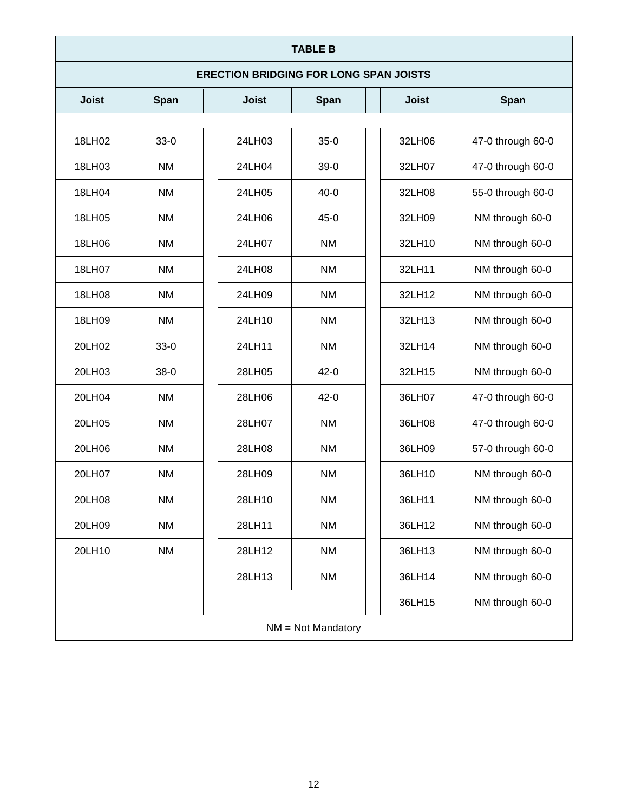## **TABLE B**

## **ERECTION BRIDGING FOR LONG SPAN JOISTS**

| <b>Joist</b>         | <b>Span</b> | <b>Joist</b> | Span      |  | <b>Joist</b> | Span              |  |  |
|----------------------|-------------|--------------|-----------|--|--------------|-------------------|--|--|
|                      |             |              |           |  |              |                   |  |  |
| 18LH02               | $33-0$      | 24LH03       | $35-0$    |  | 32LH06       | 47-0 through 60-0 |  |  |
| 18LH03               | <b>NM</b>   | 24LH04       | $39-0$    |  | 32LH07       | 47-0 through 60-0 |  |  |
| 18LH04               | <b>NM</b>   | 24LH05       | $40 - 0$  |  | 32LH08       | 55-0 through 60-0 |  |  |
| 18LH05               | <b>NM</b>   | 24LH06       | $45-0$    |  | 32LH09       | NM through 60-0   |  |  |
| 18LH06               | <b>NM</b>   | 24LH07       | <b>NM</b> |  | 32LH10       | NM through 60-0   |  |  |
| 18LH07               | <b>NM</b>   | 24LH08       | <b>NM</b> |  | 32LH11       | NM through 60-0   |  |  |
| 18LH08               | <b>NM</b>   | 24LH09       | <b>NM</b> |  | 32LH12       | NM through 60-0   |  |  |
| 18LH09               | <b>NM</b>   | 24LH10       | <b>NM</b> |  | 32LH13       | NM through 60-0   |  |  |
| 20LH02               | $33-0$      | 24LH11       | <b>NM</b> |  | 32LH14       | NM through 60-0   |  |  |
| 20LH03               | $38-0$      | 28LH05       | $42 - 0$  |  | 32LH15       | NM through 60-0   |  |  |
| 20LH04               | <b>NM</b>   | 28LH06       | $42 - 0$  |  | 36LH07       | 47-0 through 60-0 |  |  |
| 20LH05               | <b>NM</b>   | 28LH07       | <b>NM</b> |  | 36LH08       | 47-0 through 60-0 |  |  |
| 20LH06               | <b>NM</b>   | 28LH08       | <b>NM</b> |  | 36LH09       | 57-0 through 60-0 |  |  |
| 20LH07               | <b>NM</b>   | 28LH09       | <b>NM</b> |  | 36LH10       | NM through 60-0   |  |  |
| 20LH08               | <b>NM</b>   | 28LH10       | <b>NM</b> |  | 36LH11       | NM through 60-0   |  |  |
| 20LH09               | <b>NM</b>   | 28LH11       | <b>NM</b> |  | 36LH12       | NM through 60-0   |  |  |
| 20LH10               | <b>NM</b>   | 28LH12       | <b>NM</b> |  | 36LH13       | NM through 60-0   |  |  |
|                      |             | 28LH13       | <b>NM</b> |  | 36LH14       | NM through 60-0   |  |  |
|                      |             |              |           |  | 36LH15       | NM through 60-0   |  |  |
| $NM = Not$ Mandatory |             |              |           |  |              |                   |  |  |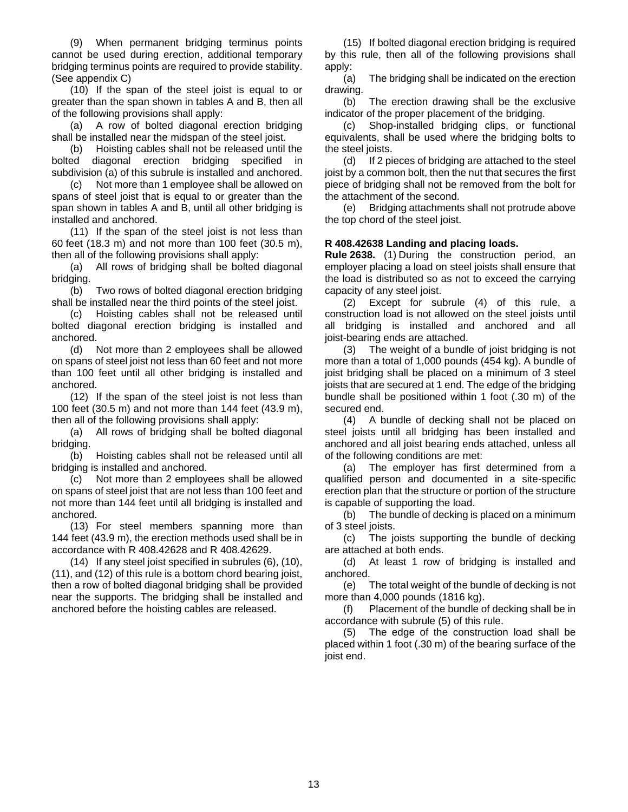(9) When permanent bridging terminus points cannot be used during erection, additional temporary bridging terminus points are required to provide stability. (See appendix C)

(10) If the span of the steel joist is equal to or greater than the span shown in tables A and B, then all of the following provisions shall apply:

(a) A row of bolted diagonal erection bridging shall be installed near the midspan of the steel joist.

(b) Hoisting cables shall not be released until the bolted diagonal erection bridging specified in subdivision (a) of this subrule is installed and anchored.

(c) Not more than 1 employee shall be allowed on spans of steel joist that is equal to or greater than the span shown in tables A and B, until all other bridging is installed and anchored.

(11) If the span of the steel joist is not less than 60 feet (18.3 m) and not more than 100 feet (30.5 m), then all of the following provisions shall apply:

(a) All rows of bridging shall be bolted diagonal bridging.

(b) Two rows of bolted diagonal erection bridging shall be installed near the third points of the steel joist.

(c) Hoisting cables shall not be released until bolted diagonal erection bridging is installed and anchored.

(d) Not more than 2 employees shall be allowed on spans of steel joist not less than 60 feet and not more than 100 feet until all other bridging is installed and anchored.

(12) If the span of the steel joist is not less than 100 feet (30.5 m) and not more than 144 feet (43.9 m), then all of the following provisions shall apply:

(a) All rows of bridging shall be bolted diagonal bridging.

(b) Hoisting cables shall not be released until all bridging is installed and anchored.

(c) Not more than 2 employees shall be allowed on spans of steel joist that are not less than 100 feet and not more than 144 feet until all bridging is installed and anchored.

(13) For steel members spanning more than 144 feet (43.9 m), the erection methods used shall be in accordance with R 408.42628 and R 408.42629.

(14) If any steel joist specified in subrules (6), (10), (11), and (12) of this rule is a bottom chord bearing joist, then a row of bolted diagonal bridging shall be provided near the supports. The bridging shall be installed and anchored before the hoisting cables are released.

(15) If bolted diagonal erection bridging is required by this rule, then all of the following provisions shall apply:

(a) The bridging shall be indicated on the erection drawing.

(b) The erection drawing shall be the exclusive indicator of the proper placement of the bridging.

(c) Shop-installed bridging clips, or functional equivalents, shall be used where the bridging bolts to the steel joists.

(d) If 2 pieces of bridging are attached to the steel joist by a common bolt, then the nut that secures the first piece of bridging shall not be removed from the bolt for the attachment of the second.

(e) Bridging attachments shall not protrude above the top chord of the steel joist.

## <span id="page-12-0"></span>**R 408.42638 Landing and placing loads.**

**Rule 2638.** (1) During the construction period, an employer placing a load on steel joists shall ensure that the load is distributed so as not to exceed the carrying capacity of any steel joist.

(2) Except for subrule (4) of this rule, a construction load is not allowed on the steel joists until all bridging is installed and anchored and all joist-bearing ends are attached.

(3) The weight of a bundle of joist bridging is not more than a total of 1,000 pounds (454 kg). A bundle of joist bridging shall be placed on a minimum of 3 steel joists that are secured at 1 end. The edge of the bridging bundle shall be positioned within 1 foot (.30 m) of the secured end.

(4) A bundle of decking shall not be placed on steel joists until all bridging has been installed and anchored and all joist bearing ends attached, unless all of the following conditions are met:

(a) The employer has first determined from a qualified person and documented in a site-specific erection plan that the structure or portion of the structure is capable of supporting the load.

(b) The bundle of decking is placed on a minimum of 3 steel joists.

(c) The joists supporting the bundle of decking are attached at both ends.

(d) At least 1 row of bridging is installed and anchored.

(e) The total weight of the bundle of decking is not more than 4,000 pounds (1816 kg).

(f) Placement of the bundle of decking shall be in accordance with subrule (5) of this rule.

(5) The edge of the construction load shall be placed within 1 foot (.30 m) of the bearing surface of the joist end.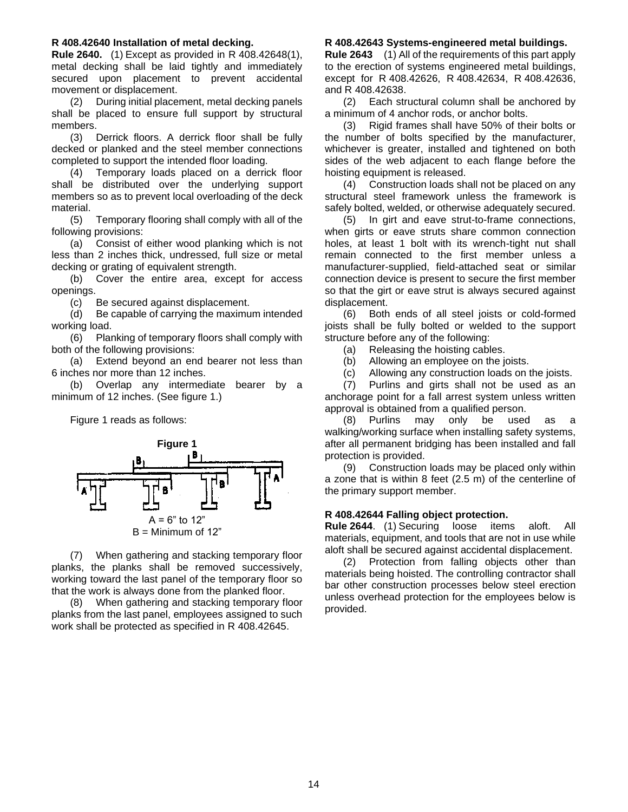#### <span id="page-13-0"></span>**R 408.42640 Installation of metal decking.**

**Rule 2640.** (1) Except as provided in R 408.42648(1), metal decking shall be laid tightly and immediately secured upon placement to prevent accidental movement or displacement.

(2) During initial placement, metal decking panels shall be placed to ensure full support by structural members.

(3) Derrick floors. A derrick floor shall be fully decked or planked and the steel member connections completed to support the intended floor loading.

(4) Temporary loads placed on a derrick floor shall be distributed over the underlying support members so as to prevent local overloading of the deck material.

(5) Temporary flooring shall comply with all of the following provisions:

(a) Consist of either wood planking which is not less than 2 inches thick, undressed, full size or metal decking or grating of equivalent strength.

(b) Cover the entire area, except for access openings.

(c) Be secured against displacement.

(d) Be capable of carrying the maximum intended working load.

(6) Planking of temporary floors shall comply with both of the following provisions:

(a) Extend beyond an end bearer not less than 6 inches nor more than 12 inches.

(b) Overlap any intermediate bearer by a minimum of 12 inches. (See figure 1.)

Figure 1 reads as follows:



(7) When gathering and stacking temporary floor planks, the planks shall be removed successively, working toward the last panel of the temporary floor so that the work is always done from the planked floor.

(8) When gathering and stacking temporary floor planks from the last panel, employees assigned to such work shall be protected as specified in R 408.42645.

#### <span id="page-13-1"></span>**R 408.42643 Systems-engineered metal buildings.**

**Rule 2643** (1) All of the requirements of this part apply to the erection of systems engineered metal buildings, except for R 408.42626, R 408.42634, R 408.42636, and R 408.42638.

(2) Each structural column shall be anchored by a minimum of 4 anchor rods, or anchor bolts.

(3) Rigid frames shall have 50% of their bolts or the number of bolts specified by the manufacturer, whichever is greater, installed and tightened on both sides of the web adjacent to each flange before the hoisting equipment is released.

(4) Construction loads shall not be placed on any structural steel framework unless the framework is safely bolted, welded, or otherwise adequately secured.

(5) In girt and eave strut-to-frame connections, when girts or eave struts share common connection holes, at least 1 bolt with its wrench-tight nut shall remain connected to the first member unless a manufacturer-supplied, field-attached seat or similar connection device is present to secure the first member so that the girt or eave strut is always secured against displacement.

(6) Both ends of all steel joists or cold-formed joists shall be fully bolted or welded to the support structure before any of the following:

- (a) Releasing the hoisting cables.
- (b) Allowing an employee on the joists.
- (c) Allowing any construction loads on the joists.

(7) Purlins and girts shall not be used as an anchorage point for a fall arrest system unless written approval is obtained from a qualified person.

(8) Purlins may only be used as a walking/working surface when installing safety systems, after all permanent bridging has been installed and fall protection is provided.

(9) Construction loads may be placed only within a zone that is within 8 feet (2.5 m) of the centerline of the primary support member.

#### <span id="page-13-2"></span>**R 408.42644 Falling object protection.**

**Rule 2644**. (1) Securing loose items aloft. All materials, equipment, and tools that are not in use while aloft shall be secured against accidental displacement.

(2) Protection from falling objects other than materials being hoisted. The controlling contractor shall bar other construction processes below steel erection unless overhead protection for the employees below is provided.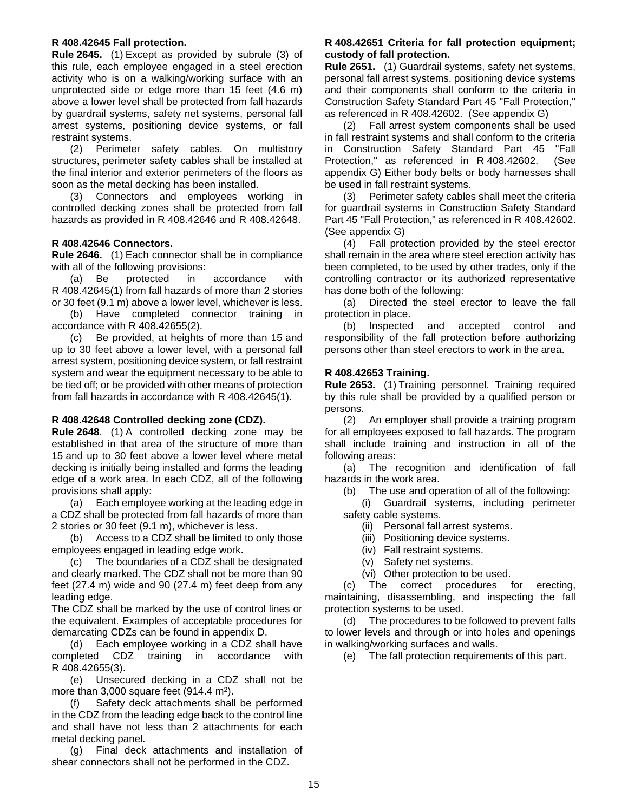#### <span id="page-14-0"></span>**R 408.42645 Fall protection.**

**Rule 2645.** (1) Except as provided by subrule (3) of this rule, each employee engaged in a steel erection activity who is on a walking/working surface with an unprotected side or edge more than 15 feet (4.6 m) above a lower level shall be protected from fall hazards by guardrail systems, safety net systems, personal fall arrest systems, positioning device systems, or fall restraint systems.

(2) Perimeter safety cables. On multistory structures, perimeter safety cables shall be installed at the final interior and exterior perimeters of the floors as soon as the metal decking has been installed.

(3) Connectors and employees working in controlled decking zones shall be protected from fall hazards as provided in R 408.42646 and R 408.42648.

#### <span id="page-14-1"></span>**R 408.42646 Connectors.**

**Rule 2646.** (1) Each connector shall be in compliance with all of the following provisions:

(a) Be protected in accordance with R 408.42645(1) from fall hazards of more than 2 stories or 30 feet (9.1 m) above a lower level, whichever is less.

(b) Have completed connector training in accordance with R 408.42655(2).

(c) Be provided, at heights of more than 15 and up to 30 feet above a lower level, with a personal fall arrest system, positioning device system, or fall restraint system and wear the equipment necessary to be able to be tied off; or be provided with other means of protection from fall hazards in accordance with R 408.42645(1).

## <span id="page-14-2"></span>**R 408.42648 Controlled decking zone (CDZ).**

**Rule 2648**. (1) A controlled decking zone may be established in that area of the structure of more than 15 and up to 30 feet above a lower level where metal decking is initially being installed and forms the leading edge of a work area. In each CDZ, all of the following provisions shall apply:

(a) Each employee working at the leading edge in a CDZ shall be protected from fall hazards of more than 2 stories or 30 feet (9.1 m), whichever is less.

(b) Access to a CDZ shall be limited to only those employees engaged in leading edge work.

(c) The boundaries of a CDZ shall be designated and clearly marked. The CDZ shall not be more than 90 feet (27.4 m) wide and 90 (27.4 m) feet deep from any leading edge.

The CDZ shall be marked by the use of control lines or the equivalent. Examples of acceptable procedures for demarcating CDZs can be found in appendix D.

(d) Each employee working in a CDZ shall have completed CDZ training in accordance with R 408.42655(3).

(e) Unsecured decking in a CDZ shall not be more than  $3,000$  square feet (914.4 m<sup>2</sup>).

(f) Safety deck attachments shall be performed in the CDZ from the leading edge back to the control line and shall have not less than 2 attachments for each metal decking panel.

(g) Final deck attachments and installation of shear connectors shall not be performed in the CDZ.

## <span id="page-14-3"></span>**R 408.42651 Criteria for fall protection equipment; custody of fall protection.**

**Rule 2651.** (1) Guardrail systems, safety net systems, personal fall arrest systems, positioning device systems and their components shall conform to the criteria in Construction Safety Standard Part 45 "Fall Protection," as referenced in R 408.42602. (See appendix G)

(2) Fall arrest system components shall be used in fall restraint systems and shall conform to the criteria in Construction Safety Standard Part 45 "Fall Protection," as referenced in R 408.42602. (See appendix G) Either body belts or body harnesses shall be used in fall restraint systems.

(3) Perimeter safety cables shall meet the criteria for guardrail systems in Construction Safety Standard Part 45 "Fall Protection," as referenced in R 408.42602. (See appendix G)

(4) Fall protection provided by the steel erector shall remain in the area where steel erection activity has been completed, to be used by other trades, only if the controlling contractor or its authorized representative has done both of the following:

(a) Directed the steel erector to leave the fall protection in place.

(b) Inspected and accepted control and responsibility of the fall protection before authorizing persons other than steel erectors to work in the area.

## <span id="page-14-4"></span>**R 408.42653 Training.**

**Rule 2653.** (1) Training personnel. Training required by this rule shall be provided by a qualified person or persons.

(2) An employer shall provide a training program for all employees exposed to fall hazards. The program shall include training and instruction in all of the following areas:

(a) The recognition and identification of fall hazards in the work area.

(b) The use and operation of all of the following:

(i) Guardrail systems, including perimeter safety cable systems.

- (ii) Personal fall arrest systems.
- (iii) Positioning device systems.
- (iv) Fall restraint systems.
- (v) Safety net systems.
- (vi) Other protection to be used.

(c) The correct procedures for erecting, maintaining, disassembling, and inspecting the fall protection systems to be used.

(d) The procedures to be followed to prevent falls to lower levels and through or into holes and openings in walking/working surfaces and walls.

(e) The fall protection requirements of this part.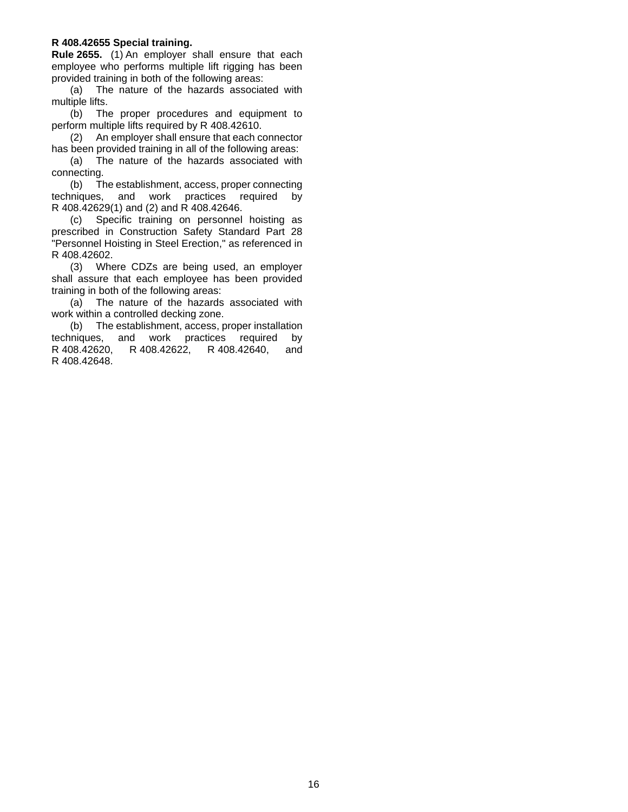#### <span id="page-15-0"></span>**R 408.42655 Special training.**

**Rule 2655.** (1) An employer shall ensure that each employee who performs multiple lift rigging has been provided training in both of the following areas:

(a) The nature of the hazards associated with multiple lifts.

(b) The proper procedures and equipment to perform multiple lifts required by R 408.42610.

(2) An employer shall ensure that each connector has been provided training in all of the following areas:

(a) The nature of the hazards associated with connecting.

(b) The establishment, access, proper connecting techniques, and work practices required by R 408.42629(1) and (2) and R 408.42646.

(c) Specific training on personnel hoisting as prescribed in Construction Safety Standard Part 28 "Personnel Hoisting in Steel Erection," as referenced in R 408.42602.

(3) Where CDZs are being used, an employer shall assure that each employee has been provided training in both of the following areas:

(a) The nature of the hazards associated with work within a controlled decking zone.

(b) The establishment, access, proper installation techniques, and work practices required by R 408.42620, R 408.42622, R 408.42640, and R 408.42648.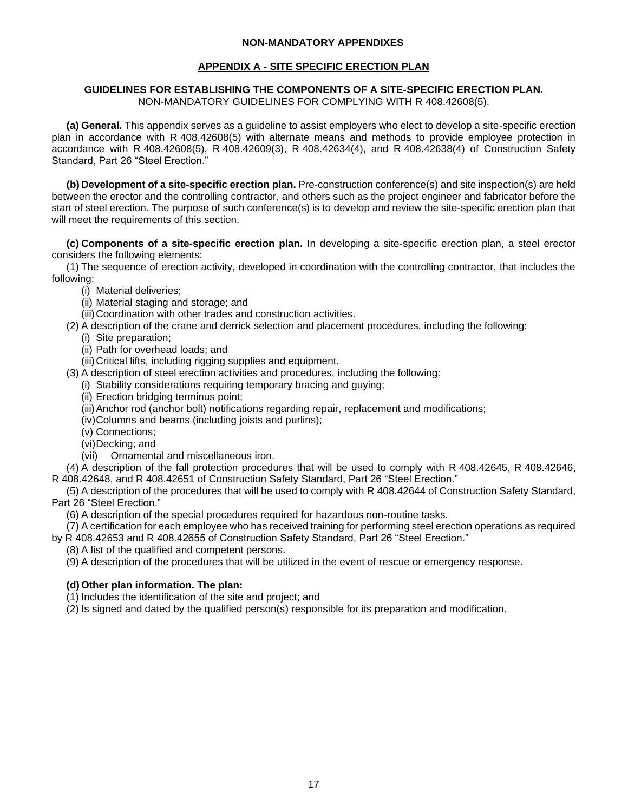### **NON-MANDATORY APPENDIXES**

### **APPENDIX A - SITE SPECIFIC ERECTION PLAN**

#### <span id="page-16-0"></span>**GUIDELINES FOR ESTABLISHING THE COMPONENTS OF A SITE-SPECIFIC ERECTION PLAN.**  NON-MANDATORY GUIDELINES FOR COMPLYING WITH R 408.42608(5).

**(a) General.** This appendix serves as a guideline to assist employers who elect to develop a site-specific erection plan in accordance with R 408.42608(5) with alternate means and methods to provide employee protection in accordance with R 408.42608(5), R 408.42609(3), R 408.42634(4), and R 408.42638(4) of Construction Safety Standard, Part 26 "Steel Erection."

**(b) Development of a site-specific erection plan.** Pre-construction conference(s) and site inspection(s) are held between the erector and the controlling contractor, and others such as the project engineer and fabricator before the start of steel erection. The purpose of such conference(s) is to develop and review the site-specific erection plan that will meet the requirements of this section.

**(c) Components of a site-specific erection plan.** In developing a site-specific erection plan, a steel erector considers the following elements:

(1) The sequence of erection activity, developed in coordination with the controlling contractor, that includes the following:

- (i) Material deliveries;
- (ii) Material staging and storage; and
- (iii)Coordination with other trades and construction activities.
- (2) A description of the crane and derrick selection and placement procedures, including the following:
	- (i) Site preparation;
	- (ii) Path for overhead loads; and
	- (iii)Critical lifts, including rigging supplies and equipment.
- (3) A description of steel erection activities and procedures, including the following:
	- (i) Stability considerations requiring temporary bracing and guying;
	- (ii) Erection bridging terminus point;
	- (iii)Anchor rod (anchor bolt) notifications regarding repair, replacement and modifications;
	- (iv)Columns and beams (including joists and purlins);
	- (v) Connections;
	- (vi)Decking; and
	- (vii) Ornamental and miscellaneous iron.

(4) A description of the fall protection procedures that will be used to comply with R 408.42645, R 408.42646, R 408.42648, and R 408.42651 of Construction Safety Standard, Part 26 "Steel Erection."

(5) A description of the procedures that will be used to comply with R 408.42644 of Construction Safety Standard, Part 26 "Steel Erection."

(6) A description of the special procedures required for hazardous non-routine tasks.

(7) A certification for each employee who has received training for performing steel erection operations as required by R 408.42653 and R 408.42655 of Construction Safety Standard, Part 26 "Steel Erection."

(8) A list of the qualified and competent persons.

(9) A description of the procedures that will be utilized in the event of rescue or emergency response.

## **(d) Other plan information. The plan:**

(1) Includes the identification of the site and project; and

(2) Is signed and dated by the qualified person(s) responsible for its preparation and modification.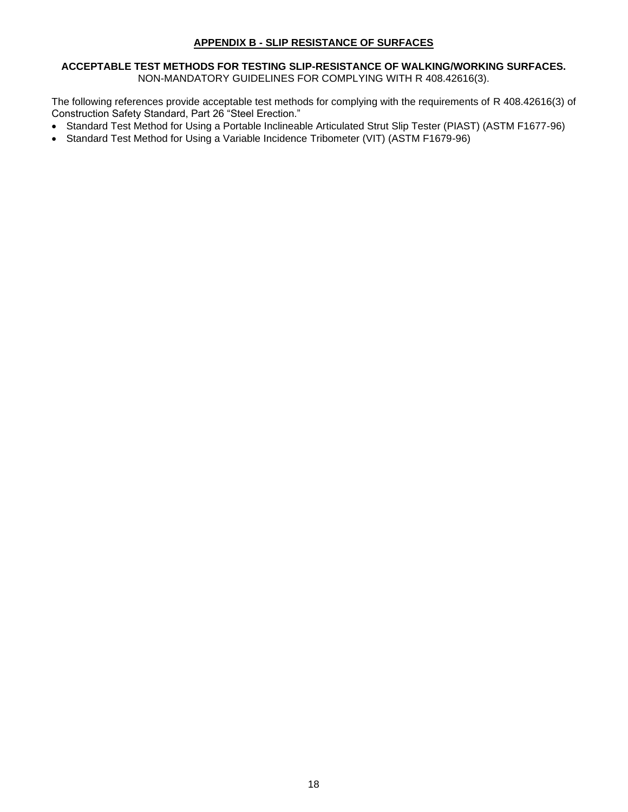## **APPENDIX B - SLIP RESISTANCE OF SURFACES**

#### <span id="page-17-0"></span>**ACCEPTABLE TEST METHODS FOR TESTING SLIP-RESISTANCE OF WALKING/WORKING SURFACES.**  NON-MANDATORY GUIDELINES FOR COMPLYING WITH R 408.42616(3).

The following references provide acceptable test methods for complying with the requirements of R 408.42616(3) of Construction Safety Standard, Part 26 "Steel Erection."

- Standard Test Method for Using a Portable Inclineable Articulated Strut Slip Tester (PIAST) (ASTM F1677-96)
- Standard Test Method for Using a Variable Incidence Tribometer (VIT) (ASTM F1679-96)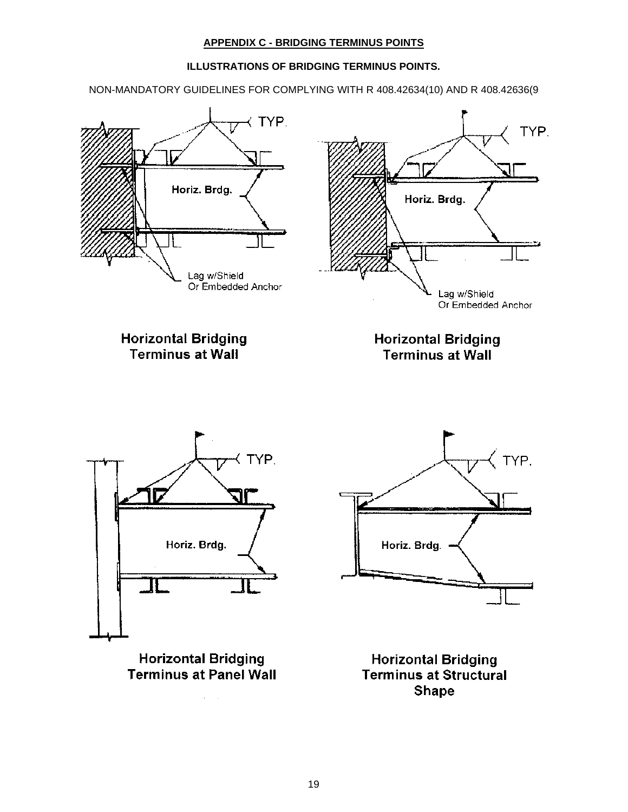## **APPENDIX C - BRIDGING TERMINUS POINTS**

## **ILLUSTRATIONS OF BRIDGING TERMINUS POINTS.**

<span id="page-18-0"></span>NON-MANDATORY GUIDELINES FOR COMPLYING WITH R 408.42634(10) AND R 408.42636(9



**Terminus at Panel Wall** 

 $\alpha = 1$ 

**Terminus at Structural Shape**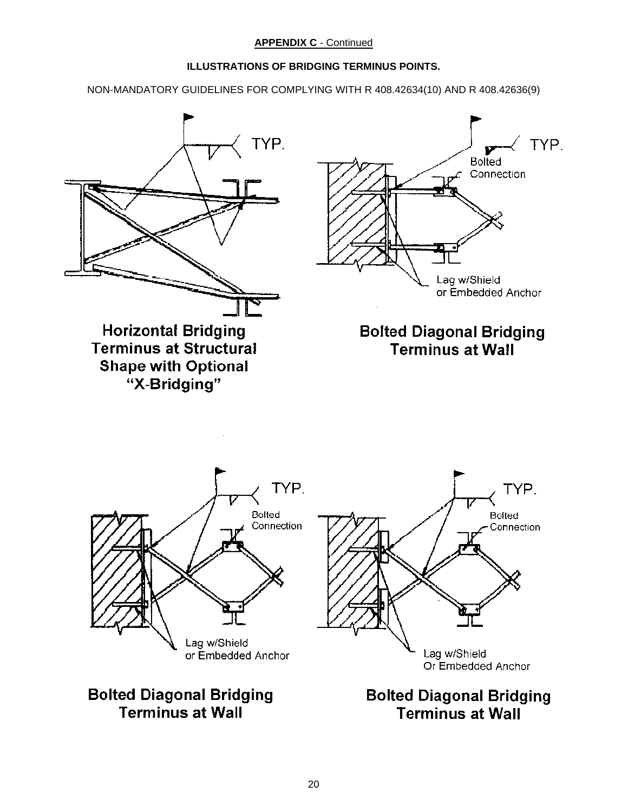## **ILLUSTRATIONS OF BRIDGING TERMINUS POINTS.**

NON-MANDATORY GUIDELINES FOR COMPLYING WITH R 408.42634(10) AND R 408.42636(9)

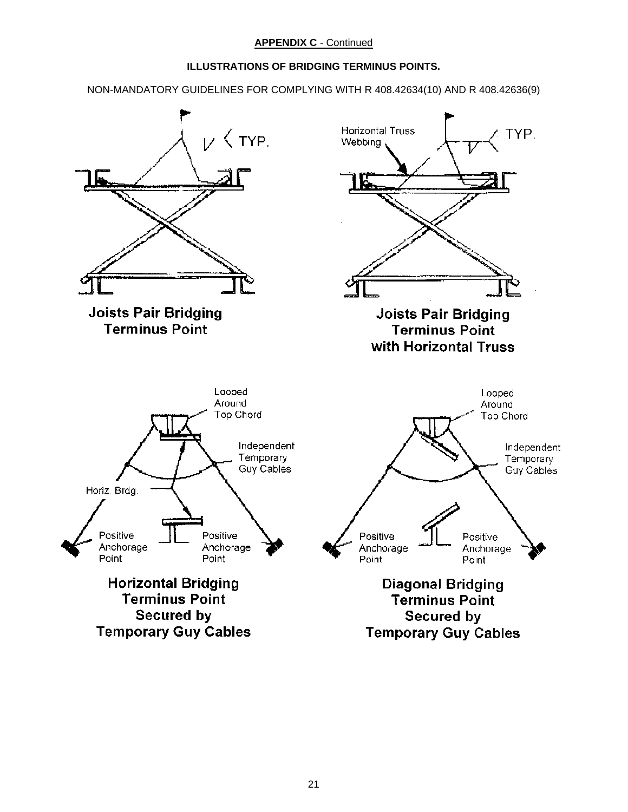## **ILLUSTRATIONS OF BRIDGING TERMINUS POINTS.**

NON-MANDATORY GUIDELINES FOR COMPLYING WITH R 408.42634(10) AND R 408.42636(9)

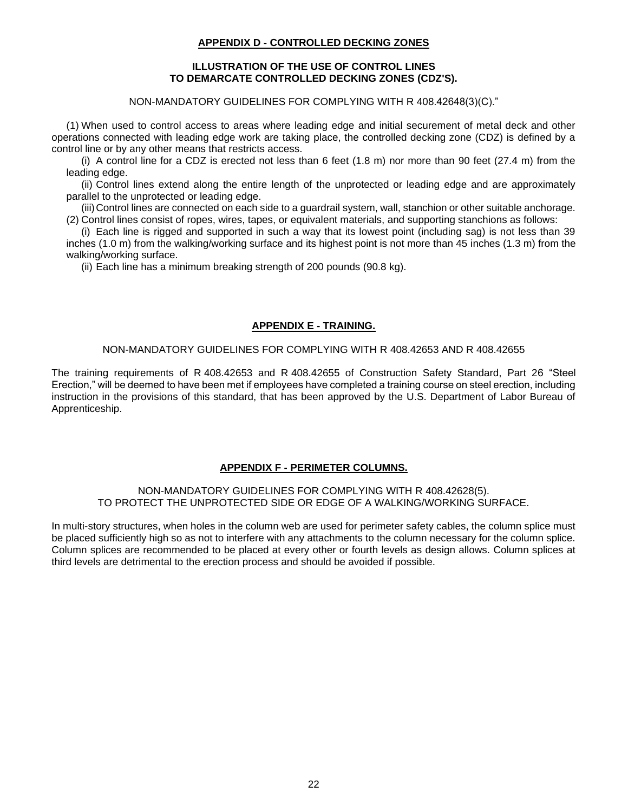## **APPENDIX D - CONTROLLED DECKING ZONES**

#### **ILLUSTRATION OF THE USE OF CONTROL LINES TO DEMARCATE CONTROLLED DECKING ZONES (CDZ'S).**

NON-MANDATORY GUIDELINES FOR COMPLYING WITH R 408.42648(3)(C)."

<span id="page-21-0"></span>(1) When used to control access to areas where leading edge and initial securement of metal deck and other operations connected with leading edge work are taking place, the controlled decking zone (CDZ) is defined by a control line or by any other means that restricts access.

(i) A control line for a CDZ is erected not less than 6 feet (1.8 m) nor more than 90 feet (27.4 m) from the leading edge.

(ii) Control lines extend along the entire length of the unprotected or leading edge and are approximately parallel to the unprotected or leading edge.

(iii)Control lines are connected on each side to a guardrail system, wall, stanchion or other suitable anchorage. (2) Control lines consist of ropes, wires, tapes, or equivalent materials, and supporting stanchions as follows:

(i) Each line is rigged and supported in such a way that its lowest point (including sag) is not less than 39 inches (1.0 m) from the walking/working surface and its highest point is not more than 45 inches (1.3 m) from the walking/working surface.

(ii) Each line has a minimum breaking strength of 200 pounds (90.8 kg).

## **APPENDIX E - TRAINING.**

#### NON-MANDATORY GUIDELINES FOR COMPLYING WITH R 408.42653 AND R 408.42655

<span id="page-21-1"></span>The training requirements of R 408.42653 and R 408.42655 of Construction Safety Standard, Part 26 "Steel Erection," will be deemed to have been met if employees have completed a training course on steel erection, including instruction in the provisions of this standard, that has been approved by the U.S. Department of Labor Bureau of Apprenticeship.

#### **APPENDIX F - PERIMETER COLUMNS.**

#### <span id="page-21-2"></span>NON-MANDATORY GUIDELINES FOR COMPLYING WITH R 408.42628(5). TO PROTECT THE UNPROTECTED SIDE OR EDGE OF A WALKING/WORKING SURFACE.

In multi-story structures, when holes in the column web are used for perimeter safety cables, the column splice must be placed sufficiently high so as not to interfere with any attachments to the column necessary for the column splice. Column splices are recommended to be placed at every other or fourth levels as design allows. Column splices at third levels are detrimental to the erection process and should be avoided if possible.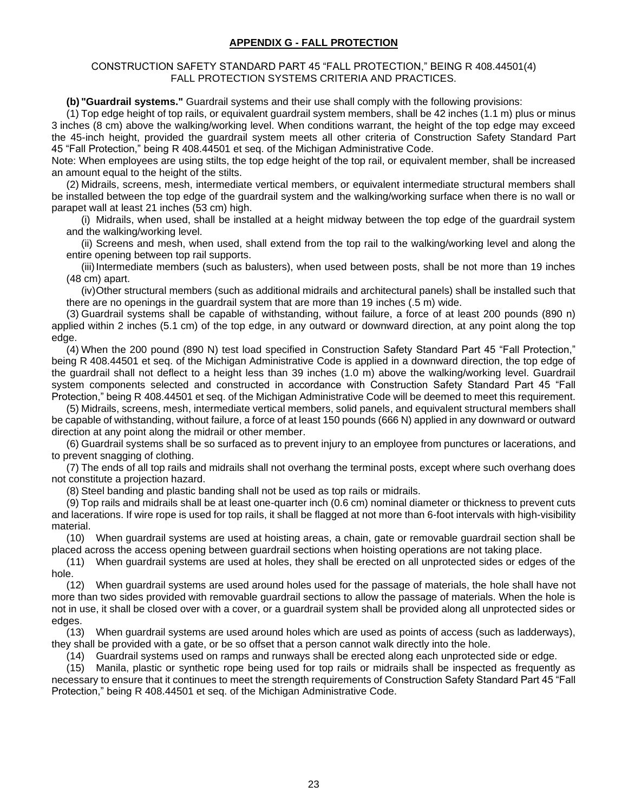## **APPENDIX G - FALL PROTECTION**

<span id="page-22-0"></span>CONSTRUCTION SAFETY STANDARD PART 45 "FALL PROTECTION," BEING R 408.44501(4) FALL PROTECTION SYSTEMS CRITERIA AND PRACTICES.

**(b) "Guardrail systems."** Guardrail systems and their use shall comply with the following provisions:

(1) Top edge height of top rails, or equivalent guardrail system members, shall be 42 inches (1.1 m) plus or minus 3 inches (8 cm) above the walking/working level. When conditions warrant, the height of the top edge may exceed the 45-inch height, provided the guardrail system meets all other criteria of Construction Safety Standard Part 45 "Fall Protection," being R 408.44501 et seq. of the Michigan Administrative Code.

Note: When employees are using stilts, the top edge height of the top rail, or equivalent member, shall be increased an amount equal to the height of the stilts.

(2) Midrails, screens, mesh, intermediate vertical members, or equivalent intermediate structural members shall be installed between the top edge of the guardrail system and the walking/working surface when there is no wall or parapet wall at least 21 inches (53 cm) high.

(i) Midrails, when used, shall be installed at a height midway between the top edge of the guardrail system and the walking/working level.

(ii) Screens and mesh, when used, shall extend from the top rail to the walking/working level and along the entire opening between top rail supports.

(iii)Intermediate members (such as balusters), when used between posts, shall be not more than 19 inches (48 cm) apart.

(iv)Other structural members (such as additional midrails and architectural panels) shall be installed such that there are no openings in the guardrail system that are more than 19 inches (.5 m) wide.

(3) Guardrail systems shall be capable of withstanding, without failure, a force of at least 200 pounds (890 n) applied within 2 inches (5.1 cm) of the top edge, in any outward or downward direction, at any point along the top edge.

(4) When the 200 pound (890 N) test load specified in Construction Safety Standard Part 45 "Fall Protection," being R 408.44501 et seq. of the Michigan Administrative Code is applied in a downward direction, the top edge of the guardrail shall not deflect to a height less than 39 inches (1.0 m) above the walking/working level. Guardrail system components selected and constructed in accordance with Construction Safety Standard Part 45 "Fall Protection," being R 408.44501 et seq. of the Michigan Administrative Code will be deemed to meet this requirement.

(5) Midrails, screens, mesh, intermediate vertical members, solid panels, and equivalent structural members shall be capable of withstanding, without failure, a force of at least 150 pounds (666 N) applied in any downward or outward direction at any point along the midrail or other member.

(6) Guardrail systems shall be so surfaced as to prevent injury to an employee from punctures or lacerations, and to prevent snagging of clothing.

(7) The ends of all top rails and midrails shall not overhang the terminal posts, except where such overhang does not constitute a projection hazard.

(8) Steel banding and plastic banding shall not be used as top rails or midrails.

(9) Top rails and midrails shall be at least one-quarter inch (0.6 cm) nominal diameter or thickness to prevent cuts and lacerations. If wire rope is used for top rails, it shall be flagged at not more than 6-foot intervals with high-visibility material.

(10) When guardrail systems are used at hoisting areas, a chain, gate or removable guardrail section shall be placed across the access opening between guardrail sections when hoisting operations are not taking place.

(11) When guardrail systems are used at holes, they shall be erected on all unprotected sides or edges of the hole.

(12) When guardrail systems are used around holes used for the passage of materials, the hole shall have not more than two sides provided with removable guardrail sections to allow the passage of materials. When the hole is not in use, it shall be closed over with a cover, or a guardrail system shall be provided along all unprotected sides or edges.

(13) When guardrail systems are used around holes which are used as points of access (such as ladderways), they shall be provided with a gate, or be so offset that a person cannot walk directly into the hole.

(14) Guardrail systems used on ramps and runways shall be erected along each unprotected side or edge.

(15) Manila, plastic or synthetic rope being used for top rails or midrails shall be inspected as frequently as necessary to ensure that it continues to meet the strength requirements of Construction Safety Standard Part 45 "Fall Protection," being R 408.44501 et seq. of the Michigan Administrative Code.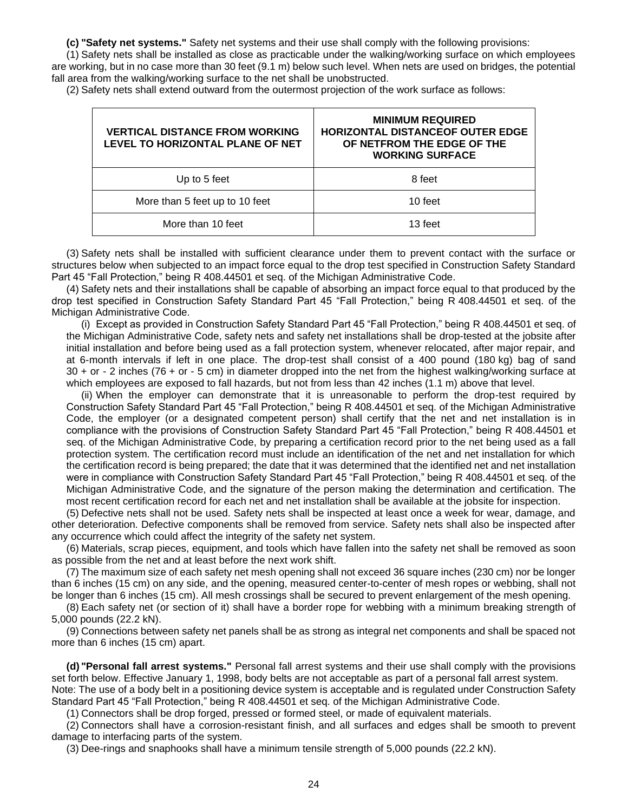**(c) "Safety net systems."** Safety net systems and their use shall comply with the following provisions:

(1) Safety nets shall be installed as close as practicable under the walking/working surface on which employees are working, but in no case more than 30 feet (9.1 m) below such level. When nets are used on bridges, the potential fall area from the walking/working surface to the net shall be unobstructed.

(2) Safety nets shall extend outward from the outermost projection of the work surface as follows:

| <b>VERTICAL DISTANCE FROM WORKING</b><br>LEVEL TO HORIZONTAL PLANE OF NET | <b>MINIMUM REQUIRED</b><br><b>HORIZONTAL DISTANCEOF OUTER EDGE</b><br>OF NETFROM THE EDGE OF THE<br><b>WORKING SURFACE</b> |  |  |  |  |  |
|---------------------------------------------------------------------------|----------------------------------------------------------------------------------------------------------------------------|--|--|--|--|--|
| Up to 5 feet                                                              | 8 feet                                                                                                                     |  |  |  |  |  |
| More than 5 feet up to 10 feet                                            | 10 feet                                                                                                                    |  |  |  |  |  |
| More than 10 feet                                                         | 13 feet                                                                                                                    |  |  |  |  |  |

(3) Safety nets shall be installed with sufficient clearance under them to prevent contact with the surface or structures below when subjected to an impact force equal to the drop test specified in Construction Safety Standard Part 45 "Fall Protection," being R 408.44501 et seq. of the Michigan Administrative Code.

(4) Safety nets and their installations shall be capable of absorbing an impact force equal to that produced by the drop test specified in Construction Safety Standard Part 45 "Fall Protection," being R 408.44501 et seq. of the Michigan Administrative Code.

(i) Except as provided in Construction Safety Standard Part 45 "Fall Protection," being R 408.44501 et seq. of the Michigan Administrative Code, safety nets and safety net installations shall be drop-tested at the jobsite after initial installation and before being used as a fall protection system, whenever relocated, after major repair, and at 6-month intervals if left in one place. The drop-test shall consist of a 400 pound (180 kg) bag of sand 30 + or - 2 inches (76 + or - 5 cm) in diameter dropped into the net from the highest walking/working surface at which employees are exposed to fall hazards, but not from less than 42 inches (1.1 m) above that level.

(ii) When the employer can demonstrate that it is unreasonable to perform the drop-test required by Construction Safety Standard Part 45 "Fall Protection," being R 408.44501 et seq. of the Michigan Administrative Code, the employer (or a designated competent person) shall certify that the net and net installation is in compliance with the provisions of Construction Safety Standard Part 45 "Fall Protection," being R 408.44501 et seq. of the Michigan Administrative Code, by preparing a certification record prior to the net being used as a fall protection system. The certification record must include an identification of the net and net installation for which the certification record is being prepared; the date that it was determined that the identified net and net installation were in compliance with Construction Safety Standard Part 45 "Fall Protection," being R 408.44501 et seq. of the Michigan Administrative Code, and the signature of the person making the determination and certification. The most recent certification record for each net and net installation shall be available at the jobsite for inspection.

(5) Defective nets shall not be used. Safety nets shall be inspected at least once a week for wear, damage, and other deterioration. Defective components shall be removed from service. Safety nets shall also be inspected after any occurrence which could affect the integrity of the safety net system.

(6) Materials, scrap pieces, equipment, and tools which have fallen into the safety net shall be removed as soon as possible from the net and at least before the next work shift.

(7) The maximum size of each safety net mesh opening shall not exceed 36 square inches (230 cm) nor be longer than 6 inches (15 cm) on any side, and the opening, measured center-to-center of mesh ropes or webbing, shall not be longer than 6 inches (15 cm). All mesh crossings shall be secured to prevent enlargement of the mesh opening.

(8) Each safety net (or section of it) shall have a border rope for webbing with a minimum breaking strength of 5,000 pounds (22.2 kN).

(9) Connections between safety net panels shall be as strong as integral net components and shall be spaced not more than 6 inches (15 cm) apart.

**(d) "Personal fall arrest systems."** Personal fall arrest systems and their use shall comply with the provisions set forth below. Effective January 1, 1998, body belts are not acceptable as part of a personal fall arrest system. Note: The use of a body belt in a positioning device system is acceptable and is regulated under Construction Safety Standard Part 45 "Fall Protection," being R 408.44501 et seq. of the Michigan Administrative Code.

(1) Connectors shall be drop forged, pressed or formed steel, or made of equivalent materials.

(2) Connectors shall have a corrosion-resistant finish, and all surfaces and edges shall be smooth to prevent damage to interfacing parts of the system.

(3) Dee-rings and snaphooks shall have a minimum tensile strength of 5,000 pounds (22.2 kN).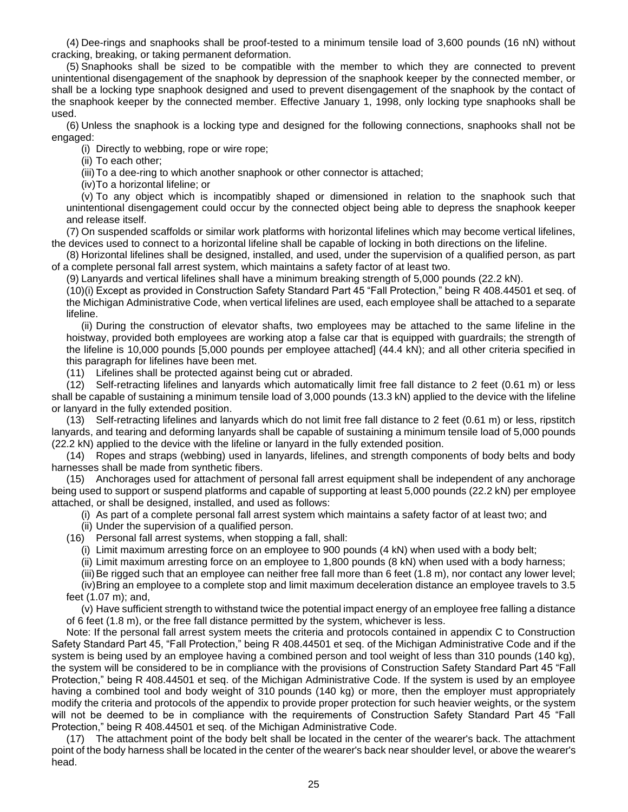(4) Dee-rings and snaphooks shall be proof-tested to a minimum tensile load of 3,600 pounds (16 nN) without cracking, breaking, or taking permanent deformation.

(5) Snaphooks shall be sized to be compatible with the member to which they are connected to prevent unintentional disengagement of the snaphook by depression of the snaphook keeper by the connected member, or shall be a locking type snaphook designed and used to prevent disengagement of the snaphook by the contact of the snaphook keeper by the connected member. Effective January 1, 1998, only locking type snaphooks shall be used.

(6) Unless the snaphook is a locking type and designed for the following connections, snaphooks shall not be engaged:

(i) Directly to webbing, rope or wire rope;

(ii) To each other;

(iii)To a dee-ring to which another snaphook or other connector is attached;

(iv)To a horizontal lifeline; or

(v) To any object which is incompatibly shaped or dimensioned in relation to the snaphook such that unintentional disengagement could occur by the connected object being able to depress the snaphook keeper and release itself.

(7) On suspended scaffolds or similar work platforms with horizontal lifelines which may become vertical lifelines, the devices used to connect to a horizontal lifeline shall be capable of locking in both directions on the lifeline.

(8) Horizontal lifelines shall be designed, installed, and used, under the supervision of a qualified person, as part of a complete personal fall arrest system, which maintains a safety factor of at least two.

(9) Lanyards and vertical lifelines shall have a minimum breaking strength of 5,000 pounds (22.2 kN).

(10)(i) Except as provided in Construction Safety Standard Part 45 "Fall Protection," being R 408.44501 et seq. of the Michigan Administrative Code, when vertical lifelines are used, each employee shall be attached to a separate lifeline.

(ii) During the construction of elevator shafts, two employees may be attached to the same lifeline in the hoistway, provided both employees are working atop a false car that is equipped with guardrails; the strength of the lifeline is 10,000 pounds [5,000 pounds per employee attached] (44.4 kN); and all other criteria specified in this paragraph for lifelines have been met.

(11) Lifelines shall be protected against being cut or abraded.

(12) Self-retracting lifelines and lanyards which automatically limit free fall distance to 2 feet (0.61 m) or less shall be capable of sustaining a minimum tensile load of 3,000 pounds (13.3 kN) applied to the device with the lifeline or lanyard in the fully extended position.

(13) Self-retracting lifelines and lanyards which do not limit free fall distance to 2 feet (0.61 m) or less, ripstitch lanyards, and tearing and deforming lanyards shall be capable of sustaining a minimum tensile load of 5,000 pounds (22.2 kN) applied to the device with the lifeline or lanyard in the fully extended position.

(14) Ropes and straps (webbing) used in lanyards, lifelines, and strength components of body belts and body harnesses shall be made from synthetic fibers.

(15) Anchorages used for attachment of personal fall arrest equipment shall be independent of any anchorage being used to support or suspend platforms and capable of supporting at least 5,000 pounds (22.2 kN) per employee attached, or shall be designed, installed, and used as follows:

(i) As part of a complete personal fall arrest system which maintains a safety factor of at least two; and

- (ii) Under the supervision of a qualified person.
- (16) Personal fall arrest systems, when stopping a fall, shall:

(i) Limit maximum arresting force on an employee to 900 pounds (4 kN) when used with a body belt;

(ii) Limit maximum arresting force on an employee to 1,800 pounds (8 kN) when used with a body harness;

(iii)Be rigged such that an employee can neither free fall more than 6 feet (1.8 m), nor contact any lower level;

(iv)Bring an employee to a complete stop and limit maximum deceleration distance an employee travels to 3.5 feet (1.07 m); and,

(v) Have sufficient strength to withstand twice the potential impact energy of an employee free falling a distance of 6 feet (1.8 m), or the free fall distance permitted by the system, whichever is less.

Note: If the personal fall arrest system meets the criteria and protocols contained in appendix C to Construction Safety Standard Part 45, "Fall Protection," being R 408.44501 et seq. of the Michigan Administrative Code and if the system is being used by an employee having a combined person and tool weight of less than 310 pounds (140 kg), the system will be considered to be in compliance with the provisions of Construction Safety Standard Part 45 "Fall Protection," being R 408.44501 et seq. of the Michigan Administrative Code. If the system is used by an employee having a combined tool and body weight of 310 pounds (140 kg) or more, then the employer must appropriately modify the criteria and protocols of the appendix to provide proper protection for such heavier weights, or the system will not be deemed to be in compliance with the requirements of Construction Safety Standard Part 45 "Fall Protection," being R 408.44501 et seq. of the Michigan Administrative Code.

(17) The attachment point of the body belt shall be located in the center of the wearer's back. The attachment point of the body harness shall be located in the center of the wearer's back near shoulder level, or above the wearer's head.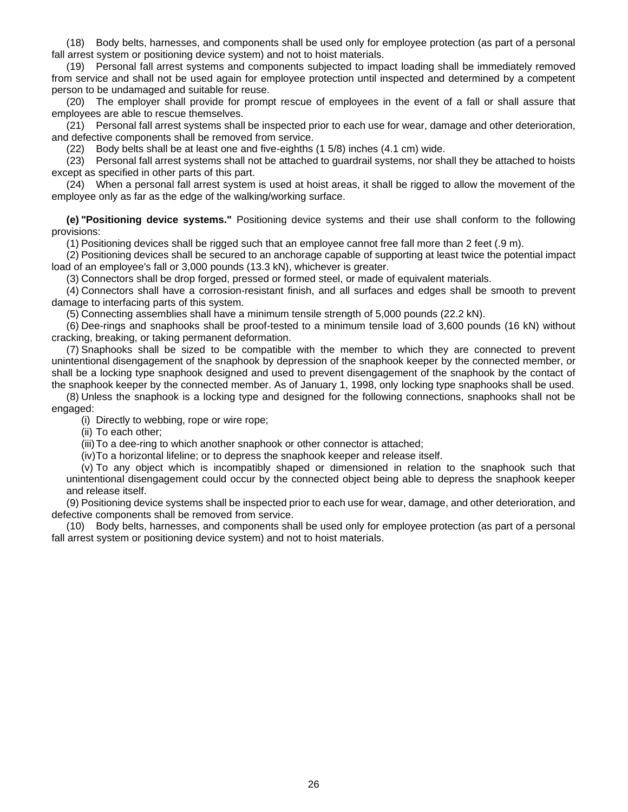(18) Body belts, harnesses, and components shall be used only for employee protection (as part of a personal fall arrest system or positioning device system) and not to hoist materials.

(19) Personal fall arrest systems and components subjected to impact loading shall be immediately removed from service and shall not be used again for employee protection until inspected and determined by a competent person to be undamaged and suitable for reuse.

(20) The employer shall provide for prompt rescue of employees in the event of a fall or shall assure that employees are able to rescue themselves.

(21) Personal fall arrest systems shall be inspected prior to each use for wear, damage and other deterioration, and defective components shall be removed from service.

(22) Body belts shall be at least one and five-eighths (1 5/8) inches (4.1 cm) wide.

(23) Personal fall arrest systems shall not be attached to guardrail systems, nor shall they be attached to hoists except as specified in other parts of this part.

(24) When a personal fall arrest system is used at hoist areas, it shall be rigged to allow the movement of the employee only as far as the edge of the walking/working surface.

**(e) "Positioning device systems."** Positioning device systems and their use shall conform to the following provisions:

(1) Positioning devices shall be rigged such that an employee cannot free fall more than 2 feet (.9 m).

(2) Positioning devices shall be secured to an anchorage capable of supporting at least twice the potential impact load of an employee's fall or 3,000 pounds (13.3 kN), whichever is greater.

(3) Connectors shall be drop forged, pressed or formed steel, or made of equivalent materials.

(4) Connectors shall have a corrosion-resistant finish, and all surfaces and edges shall be smooth to prevent damage to interfacing parts of this system.

(5) Connecting assemblies shall have a minimum tensile strength of 5,000 pounds (22.2 kN).

(6) Dee-rings and snaphooks shall be proof-tested to a minimum tensile load of 3,600 pounds (16 kN) without cracking, breaking, or taking permanent deformation.

(7) Snaphooks shall be sized to be compatible with the member to which they are connected to prevent unintentional disengagement of the snaphook by depression of the snaphook keeper by the connected member, or shall be a locking type snaphook designed and used to prevent disengagement of the snaphook by the contact of the snaphook keeper by the connected member. As of January 1, 1998, only locking type snaphooks shall be used.

(8) Unless the snaphook is a locking type and designed for the following connections, snaphooks shall not be engaged:

(i) Directly to webbing, rope or wire rope;

(ii) To each other;

(iii)To a dee-ring to which another snaphook or other connector is attached;

(iv)To a horizontal lifeline; or to depress the snaphook keeper and release itself.

(v) To any object which is incompatibly shaped or dimensioned in relation to the snaphook such that unintentional disengagement could occur by the connected object being able to depress the snaphook keeper and release itself.

(9) Positioning device systems shall be inspected prior to each use for wear, damage, and other deterioration, and defective components shall be removed from service.

(10) Body belts, harnesses, and components shall be used only for employee protection (as part of a personal fall arrest system or positioning device system) and not to hoist materials.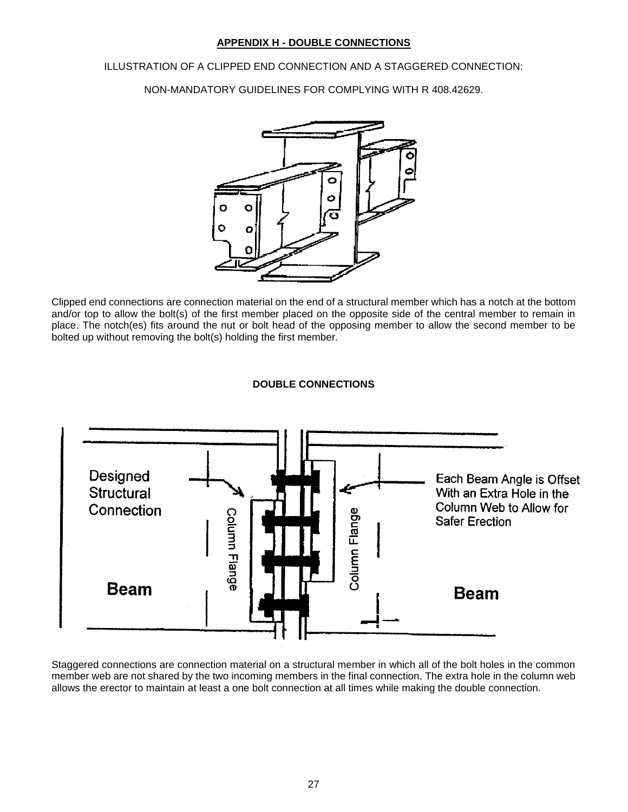## **APPENDIX H - DOUBLE CONNECTIONS**

<span id="page-26-0"></span>ILLUSTRATION OF A CLIPPED END CONNECTION AND A STAGGERED CONNECTION:

NON-MANDATORY GUIDELINES FOR COMPLYING WITH R 408.42629.



Clipped end connections are connection material on the end of a structural member which has a notch at the bottom and/or top to allow the bolt(s) of the first member placed on the opposite side of the central member to remain in place. The notch(es) fits around the nut or bolt head of the opposing member to allow the second member to be bolted up without removing the bolt(s) holding the first member.



**DOUBLE CONNECTIONS**

Staggered connections are connection material on a structural member in which all of the bolt holes in the common member web are not shared by the two incoming members in the final connection. The extra hole in the column web allows the erector to maintain at least a one bolt connection at all times while making the double connection.